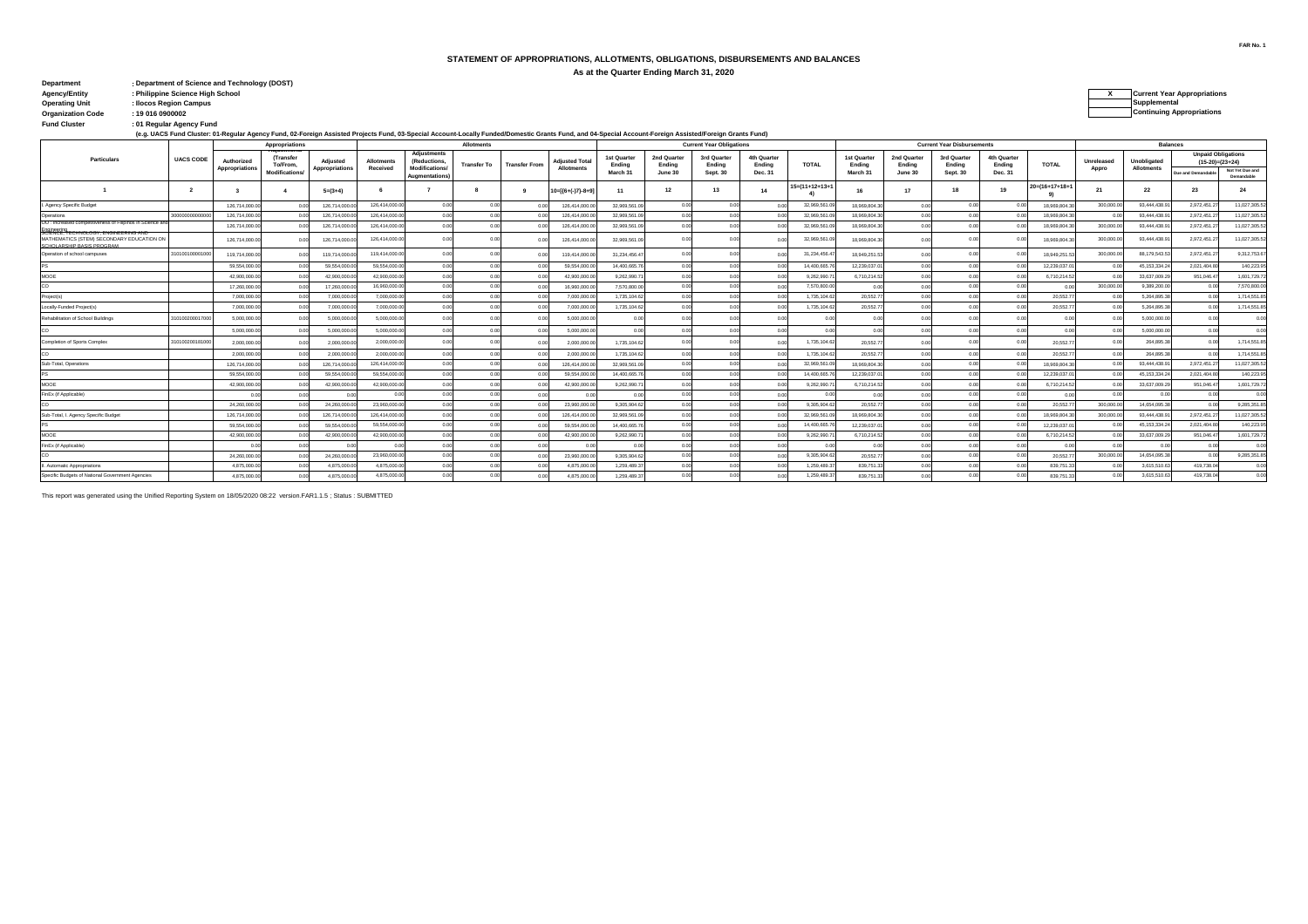#### **STATEMENT OF APPROPRIATIONS, ALLOTMENTS, OBLIGATIONS, DISBURSEMENTS AND BALANCES**

**As at the Quarter Ending March 31, 2020**

| : Department of Science and Technology (DOST) |                                    |
|-----------------------------------------------|------------------------------------|
| : Philippine Science High School              | <b>Current Year Appropriations</b> |
| : Ilocos Region Campus                        | Supplemental                       |
| : 19 016 0900002                              | <b>Continuing Appropriations</b>   |
| : 01 Regular Agency Fund                      |                                    |
|                                               |                                    |

| Supplemental                     |
|----------------------------------|
| <b>Continuing Appropriations</b> |
|                                  |

tund Cluster (the gular Agency Fund)<br>(e.g. UACS Fund Cluster: 01-Regular Agency Fund, 02-Foreign Assisted Projects Fund, 03-Special Account-Locally Funded/Domestic Grants Fund, and 04-Special Account-Foreign Assisted/Fore

| <b>Allotments</b><br>Appropriations                                                                            |                  |                              |                              |                            |                               |                                                             | <b>Current Year Obligations</b> |                      |                                            |                       |                       | <b>Current Year Disbursements</b> |                       |                |                       |                       | <b>Balances</b>       |                       |                 |                     |                                  |                           |                               |
|----------------------------------------------------------------------------------------------------------------|------------------|------------------------------|------------------------------|----------------------------|-------------------------------|-------------------------------------------------------------|---------------------------------|----------------------|--------------------------------------------|-----------------------|-----------------------|-----------------------------------|-----------------------|----------------|-----------------------|-----------------------|-----------------------|-----------------------|-----------------|---------------------|----------------------------------|---------------------------|-------------------------------|
| <b>Particulars</b>                                                                                             | <b>UACS CODE</b> | Authorized<br>Appropriations | <b>(Transfer</b><br>To/From. | Adiusted<br>Appropriations | <b>Allotments</b><br>Received | <b>Adjustments</b><br>(Reductions,<br><b>Modifications/</b> | <b>Transfer To</b>              | <b>Transfer From</b> | <b>Adiusted Total</b><br><b>Allotments</b> | 1st Quarter<br>Endina | 2nd Quarter<br>Endina | 3rd Quarter<br>Ending             | 4th Quarter<br>Ending | <b>TOTAL</b>   | 1st Quarter<br>Endina | 2nd Quarter<br>Endina | 3rd Quarter<br>Endina | 4th Quarter<br>Endina | <b>TOTAL</b>    | Unreleased<br>Appro | Unobligated<br><b>Allotments</b> | <b>Unpaid Obligations</b> | $(15-20)=(23+24)$             |
|                                                                                                                |                  |                              | <b>Modifications/</b>        |                            |                               | Augmentations)                                              |                                 |                      |                                            | March 31              | June 30               | Sept. 30                          | Dec. 31               |                | March 31              | June 30               | Sept. 30              | Dec. 31               |                 |                     |                                  | Due and Demandabl         | Not Yet Due and<br>Demandable |
|                                                                                                                |                  | $\mathbf{R}$                 |                              | $5=(3+4)$                  |                               |                                                             |                                 |                      | $10=[(6+(-)7)-8+9]$                        | 11                    | 12                    | 13                                | 14                    | 15=(11+12+13+1 | 16                    | 17                    | 18                    |                       | $20=(16+17+18+$ | 21                  | 22                               | 23                        | 24                            |
| . Agency Specific Budget                                                                                       |                  | 126,714,000.0                |                              | 126.714.000.               | 126.414.000.0                 | 0.00                                                        | 0.01                            |                      | 126.414.000.0                              | 32.969.561.0          | 0.00                  | 0.00                              |                       | 32.969.561     | 18,969,804.3          | 0.01                  | 0.00                  |                       | 18.969.804.     | 300,000.0           | 93,444,438.9                     | 2.972.451.27              | 11.027.305.52                 |
| Operations                                                                                                     | 000000000        | 126,714,000.0                |                              | 126,714,000.               | 126.414.000.0                 | 0.00                                                        |                                 |                      | 126.414.000.0                              | 32.969.561.0          |                       | 0.00                              |                       | 32.969.561.    | 18,969,804.3          | 0.01                  |                       |                       | 18.969.804.3    |                     | 93,444,438.9                     | 2,972,451.27              | 11,027,305.52                 |
| OO : Increased competitiveness of Filipinos in Science an                                                      |                  | 126,714,000.0                |                              | 126.714.000.               | 126.414.000.0                 | 0.00                                                        |                                 |                      | 126.414.000.0                              | 32.969.561.0          | 0.00                  | 0.00                              |                       | 32.969.561.    | 18.969.804.3          | 0.01                  | 0.00                  |                       | 18.969.804.3    | 300,000.0           | 93.444.438.9                     | 2.972.451.27              | 11.027.305.52                 |
| SCIENCE, TECHNOLOGY, ENGINEERING AND<br>MATHEMATICS (STEM) SECONDARY EDUCATION ON<br>SCHOLARSHIR BASIS PROCRAM |                  | 126,714,000.0                |                              | 126,714,000.               | 126,414,000.0                 | 0.00                                                        |                                 |                      | 126.414.000.0                              | 32.969.561.0          | 0.00                  |                                   |                       | 32,969,561     | 18,969,804.3          | 0.01                  |                       |                       | 18.969.804.3    | 300.000.0           | 93,444,438.9                     | 2,972,451.27              | 11,027,305.52                 |
| Operation of school campuses                                                                                   | 10100100001000   | 119.714.000.0                |                              | 119,714,000.               | 119.414.000.0                 | 0.00                                                        |                                 |                      | 119.414.000.0                              | 31.234.456.47         |                       | 0.00                              |                       | 31,234,456.4   | 18.949.251.5          | 0.01                  |                       |                       | 18,949,251.     | 300,000.0           | 88.179.543.5                     | 2.972.451.2               | 9,312,753.67                  |
|                                                                                                                |                  | 59.554.000.0                 | 0.00                         | 59.554.000                 | 59.554.000.0                  | 0.00                                                        |                                 |                      | 59.554.000.0                               | 14.400.665.7          | 0.00                  | 0.00                              |                       | 14,400,665.    | 12.239.037.           | 0.00                  | 0.00                  |                       | 12.239.037.     |                     | 45.153.334.2                     | 2.021.404.80              | 140.223.95                    |
| MOOE                                                                                                           |                  | 42,900,000.0                 | 0.00                         | 42.900.000                 | 42.900.000.0                  | 0.00                                                        |                                 |                      | 42.900.000.                                | 9,262,990.7           | 00                    | 0.00                              |                       | 9.262.990.7    | 6,710,214.5           | 0.00                  |                       |                       | 6,710,214.5     |                     | 33,637,009.2                     | 951.046.47                | 1,601,729.72                  |
|                                                                                                                |                  | 17,260,000.0                 |                              | 17,260,000                 | 16.960.000.0                  | 0.00                                                        |                                 |                      | 16,960,000                                 | 7,570,800.0           |                       | 0.00                              |                       | 7.570.800.     |                       | 0.01                  | 0.00                  |                       |                 | 300,000.0           | 9.389.200.0                      | 00                        | 7.570.800.00                  |
| Project(s)                                                                                                     |                  | 7.000.000.0                  | 0.00                         | 7.000.000                  | 7.000.000.0                   | 0.00                                                        |                                 |                      | 7.000.000.0                                | 1.735.104.62          | 0.00                  | 0.00                              |                       | 1.735.104.6    | 20.552.7              | 0.00                  | 0.00                  |                       | 20.552.7        |                     | 5.264.895.3                      | 0.00                      | 1.714.551.85                  |
| Locally-Funded Project(s)                                                                                      |                  | 7.000.000.0                  | 0.00                         | 7,000,000                  | 7.000.000.0                   | 0.00                                                        | 0.00                            | $^{\circ}$           | 7.000.000.                                 | 1,735,104.6           | 0.00                  | 0.00                              | 00                    | 1,735,104.6    | 20,552.7              | 0.00                  | 0.00                  |                       | 20.552.7        |                     | 5,264,895.3                      | 0.00                      | 1,714,551.85                  |
| Rehabilitation of School Buildings                                                                             | 10100200017000   | 5.000.000.0                  |                              | 5.000.000.                 | 5.000.000.0                   | 0.00                                                        |                                 |                      | 5.000.000.                                 | 0.00                  | 0.01                  | 0.00                              |                       |                |                       | 0.01                  |                       |                       |                 |                     | 5.000.000.0                      | 0 <sub>0</sub>            | 0.00                          |
|                                                                                                                |                  | 5,000,000.0                  | 0.00                         | 5,000,000.                 | 5,000,000.0                   | 0.00                                                        |                                 |                      | 5.000.000.0                                | 0.00                  | 0.00                  | 0.00                              | 0.00                  | 0.00           | 00                    | 0.00                  | 0.00                  |                       | 0.00            | 00                  | 5,000,000.0                      | 0.00                      | 0.00                          |
| Completion of Sports Complex                                                                                   | 1010020018100    | 2.000.000.0                  |                              | 2.000.000                  | 2.000.000.0                   |                                                             |                                 |                      | 2.000.000.0                                | 1.735.104.62          |                       |                                   |                       | 1,735,104.6    | 20.552.7              | 0.01                  |                       |                       | 20.552.7        |                     | 264,895.3                        |                           | 1.714.551.85                  |
|                                                                                                                |                  | 2.000.000.0                  | 0.00                         | 2,000,000                  | 2.000.000.0                   | 0.00                                                        |                                 |                      | 2.000.000.0                                | 1.735.104.62          | 0.00                  | 0.00                              | 0.0                   | 1.735.104.62   | 20.552.7              | 0.00                  | 0.00                  |                       | 20.552.7        | 00                  | 264.895.3                        | 0.00                      | 1.714.551.85                  |
| Sub-Total, Operations                                                                                          |                  | 126,714,000.0                |                              | 126.714.000.               | 126.414.000.0                 | 0.00                                                        |                                 |                      | 126.414.000.                               | 32.969.561.0          | 0.01                  | 0.00                              |                       | 32.969.561     | 18,969,804.3          | 0.00                  | 0.00                  |                       | 18.969.804.3    |                     | 93,444,438.9                     | 2.972.451.2               | 11,027,305.52                 |
|                                                                                                                |                  | 59.554.000.0                 |                              | 59.554.000                 | 59.554.000.0                  | 0.00                                                        |                                 |                      | 59 554 000 0                               | 14,400,665.7          | 0.00                  | 0.00                              |                       | 14.400.665     | 12.239.037.0          | 0.00                  | 0.00                  |                       | 12.239.037.     |                     | 45.153.334.2                     | 2.021.404.80              | 140.223.95                    |
| MOOE                                                                                                           |                  | 42.900.000.0                 |                              | 42.900.000                 | 42.900.000.0                  | 0.00                                                        |                                 |                      | 42.900.000.                                | 9.262.990.7           |                       | 0.00                              |                       | 9.262.990      | 6.710.214.5           | 0.00                  | n nn                  |                       | 6,710,214.5     |                     | 33,637,009.                      | 951,046.4                 | 1,601,729.72                  |
| FinEx (if Applicable)                                                                                          |                  | $^{\circ}$                   | 0.00                         |                            |                               | 0.00                                                        |                                 | $^{\circ}$           |                                            | 0.00                  | 0.00                  | 0.00                              |                       | 0.00           | 00                    | 0.00                  | 0.00                  |                       | 00              |                     | $^{\circ}$                       | 0.00                      | 0.00                          |
|                                                                                                                |                  | 24,260,000.0                 | 000                          | 24.260.000                 | 23,960,000.0                  | 0.00                                                        |                                 |                      | 23.960.000.0                               | 9.305.904.6           |                       | 0.00                              |                       | 9.305.904.6    | 20,552.7              | 0.01                  |                       |                       | 20,552.7        | 300,000.0           | 14,654,095.3                     | 0.00                      | 9.285.351.85                  |
| Sub-Total, I. Agency Specific Budget                                                                           |                  | 126,714,000.0                |                              | 126,714,000.               | 126.414.000.0                 | 0.00                                                        |                                 |                      | 126.414.000.                               | 32.969.561.0          |                       | 0.00                              |                       | 32.969.561.    | 18,969,804.3          | 0.00                  | 0.00                  |                       | 18.969.804.3    | 300,000.0           | 93,444,438.9                     | 2,972,451.2               | 11,027,305.52                 |
|                                                                                                                |                  | 59,554,000.0                 |                              | 59.554.000                 | 59.554.000.0                  | 0.00                                                        |                                 |                      | 59.554.000.0                               | 14,400,665.7          | 0.00                  | 0.00                              |                       | 14.400.665.    | 12.239.037.0          | 0.00                  | 0.00                  |                       | 12.239.037.     | 0 <sup>1</sup>      | 45.153.334.2                     | 2,021,404.80              | 140.223.95                    |
| MOOE                                                                                                           |                  | 42,900,000.0                 | 0.00                         | 42,900,000.                | 42.900.000.0                  | 0.00                                                        | 0.00                            | 0 <sup>o</sup>       | 42,900,000.                                | 9,262,990.7           | 0.00                  | 0.00                              |                       | 9,262,990.     | 6,710,214.52          | 0.00                  | 0.00                  |                       | 6,710,214.5     |                     | 33,637,009.2                     | 951,046.47                | 1,601,729.72                  |
| FinEx (if Applicable)                                                                                          |                  | 0 <sup>1</sup>               | 0.00                         |                            |                               | 0.00                                                        |                                 | 00                   | 0 <sup>4</sup>                             | 0.00                  | 0.00                  | 0.00                              | 00                    | 00             | -O.C                  | 0.00                  | 0.00                  |                       | 00              |                     | 0 <sup>1</sup>                   | 0.00                      | 0.00                          |
|                                                                                                                |                  | 24,260,000.0                 | 0.00                         | 24,260,000.                | 23.960.000.0                  | 0.00                                                        |                                 |                      | 23.960.000.                                | 9.305.904.62          |                       | 0.00                              |                       | 9.305.904.6    | 20.552.7              | 0.00                  |                       |                       | 20.552.7        | 300,000.0           | 14.654.095.3                     | 0 <sub>0</sub>            | 9.285.351.85                  |
| II. Automatic Appropriations                                                                                   |                  | 4.875.000.0                  |                              | 4.875.000                  | 4.875.000.0                   | 0.00                                                        |                                 |                      | 4.875.000.                                 | 1,259,489.3           |                       | 0.00                              |                       | 1.259.489.3    | 839.751.3             | 0.01                  |                       |                       | 839.751.        |                     | 3,615,510.                       | 419,738.0                 | 0.00                          |
| Specific Budgets of National Government Agencies                                                               |                  | 4.875,000.0                  | 0.00                         | 4.875.000                  | 4.875.000.00                  | 0.00                                                        |                                 |                      | 4.875.000.                                 | 1.259.489.3           |                       | 0.00                              |                       | 1,259,489.3    | 839.751.3             | 0.01                  |                       |                       | 839.751.3       | 0.0                 | 3.615.510.6                      | 419,738.04                | 0.00                          |

This report was generated using the Unified Reporting System on 18/05/2020 08:22 version.FAR1.1.5 ; Status : SUBMITTED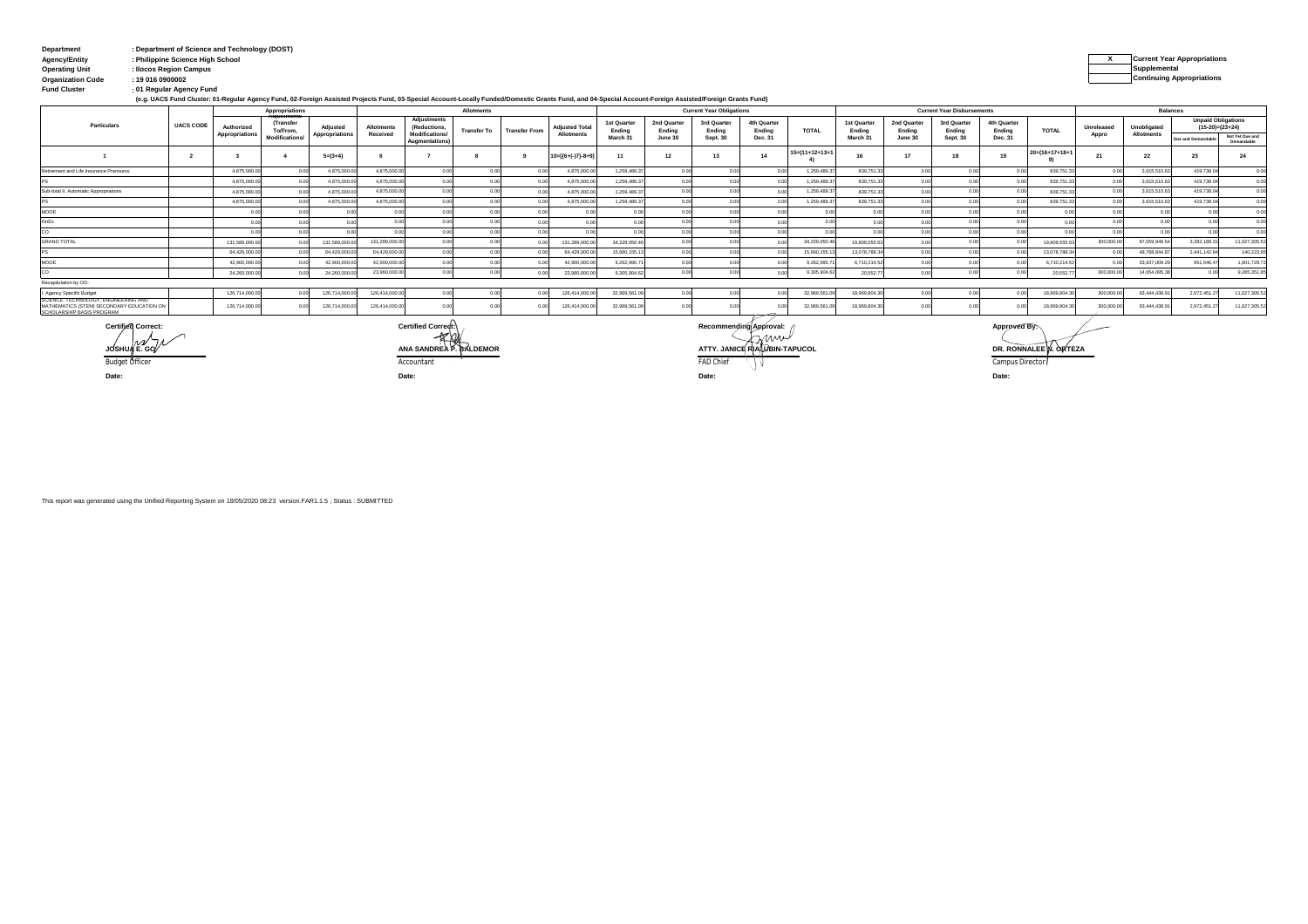| Department               | : Department of Science and Technology (DOST) |                                    |
|--------------------------|-----------------------------------------------|------------------------------------|
| <b>Agency/Entity</b>     | : Philippine Science High School              | <b>Current Year Appropriations</b> |
| <b>Operating Unit</b>    | : Ilocos Region Campus                        | Supplemental                       |
| <b>Organization Code</b> | : 19 016 0900002                              | <b>Continuing Appropriations</b>   |
| <b>Fund Cluster</b>      | : 01 Regular Agency Fund                      |                                    |

**(e.g. UACS Fund Cluster: 01-Regular Agency Fund, 02-Foreign Assisted Projects Fund, 03-Special Account-Locally Funded/Domestic Grants Fund, and 04-Special Account-Foreign Assisted/Foreign Grants Fund)**

|                                                                                                                |                  |                | <b>Appropriations</b>       |                | Allotments    |                                         |                    | <b>Current Year Obligations</b> |                       |                       |                       |                       | <b>Current Year Disbursements</b> |                   |                       |                       |                       | <b>Balances</b>       |                           |            |              |                           |                               |
|----------------------------------------------------------------------------------------------------------------|------------------|----------------|-----------------------------|----------------|---------------|-----------------------------------------|--------------------|---------------------------------|-----------------------|-----------------------|-----------------------|-----------------------|-----------------------------------|-------------------|-----------------------|-----------------------|-----------------------|-----------------------|---------------------------|------------|--------------|---------------------------|-------------------------------|
| Particulars                                                                                                    | <b>UACS CODE</b> | Authorized     | <b>Transfer</b><br>To/From, | Adiusted       | Allotments    | Adiustments<br>(Reductions,             | <b>Transfer To</b> | <b>Transfer From</b>            | <b>Adjusted Total</b> | 1st Quarter<br>Ending | 2nd Quarter<br>Ending | 3rd Quarter<br>Ending | 4th Quarter<br>Ending             | <b>TOTAL</b>      | 1st Quarter<br>Ending | 2nd Quarter<br>Ending | 3rd Quarter<br>Ending | 4th Quarter<br>Ending | <b>TOTAL</b>              | Unreleased | Unobligated  | <b>Unpaid Obligations</b> | $(15-20)=(23+24)$             |
|                                                                                                                |                  | Appropriations | <b>Modification:</b>        | Appropriations | Received      | <b>Modifications/</b><br>Augmentations) |                    |                                 | <b>Allotments</b>     | March 3               | June 30               | Sept. 30              | Dec. 31                           |                   | March 31              | June 30               | Sept. 30              | Dec. 31               |                           | Appro      | Allotments   | Due and Demandable        | Not Yet Due and<br>Demandable |
|                                                                                                                |                  |                |                             | $5=(3+4)$      |               |                                         |                    |                                 | $10=[(6+(-)7)-8+9]$   |                       |                       |                       |                                   | $15=(11+12+13+1)$ |                       |                       |                       | 19                    | $20 = (16 + 17 + 18 + 1)$ |            | 22           | 23                        |                               |
| Retirement and Life Insurance Premiums                                                                         |                  | 4.875.000.0    |                             | 4.875,000.00   | 4,875,000.0   |                                         |                    |                                 | 4.875.000.0           | 1.259.489.3           |                       |                       |                                   | 1,259,489.3       | 839,751.3             |                       |                       |                       | 839.751.                  |            | 3,615,510.6  | 419,738.0                 | 0.00                          |
|                                                                                                                |                  | 4.875,000.0    |                             | 4.875,000.00   | 4.875.000.0   |                                         |                    |                                 | 4.875.000.0           | 1,259,489.3           |                       |                       |                                   | 1.259.489.        | 839,751.3             |                       |                       |                       | 839.751.                  |            | 3.615.510.6  | 419,738.04                | 0.00                          |
| Sub-total II. Automatic Appropriations                                                                         |                  | 4,875,000.0    |                             | 4,875,000.00   | 4.875.000.0   |                                         |                    |                                 | 4.875.000.0           | 1.259.489.3           |                       |                       |                                   | 1,259,489.        | 839,751.3             |                       |                       |                       | 839,751.                  |            | 3,615,510.63 | 419,738.0                 | 0.00                          |
|                                                                                                                |                  | 4.875.000.     |                             | 4.875,000.00   | 4.875.000.0   |                                         |                    |                                 | 4.875.000.0           | 1.259.489.3           |                       |                       |                                   | 1,259,489.        | 839,751.3             |                       |                       |                       | 839.751.                  |            | 3.615.510.6  | 419,738.04                | 0.00                          |
| <b>MOOE</b>                                                                                                    |                  |                |                             |                |               |                                         |                    |                                 |                       |                       |                       |                       |                                   |                   |                       |                       |                       |                       |                           |            |              |                           | 0.00                          |
| FinEx                                                                                                          |                  |                |                             |                |               |                                         |                    |                                 |                       |                       |                       |                       |                                   |                   |                       |                       |                       |                       |                           |            |              |                           | 0.00                          |
|                                                                                                                |                  |                |                             |                |               |                                         |                    |                                 |                       |                       |                       |                       |                                   |                   |                       |                       |                       |                       |                           |            |              |                           | 0.00                          |
| <b>GRAND TOTAL</b>                                                                                             |                  | 131,589,000.   |                             | 131,589,000.00 | 131,289,000.0 |                                         |                    |                                 | 131,289,000.0         | 34,229,050.46         |                       |                       |                                   | 34,229,050.4      | 19,809,555.6          |                       |                       |                       | 19.809.555.               | 300,000.0  | 97.059.949.5 | 3.392.189.3               | 11,027,305.52                 |
|                                                                                                                |                  | 64,429,000.0   |                             | 64,429,000.0   | 64,429,000.00 |                                         |                    |                                 | 64,429,000.0          | 15,660,155.13         |                       |                       |                                   | 15,660,155.       | 13,078,788.3          |                       |                       |                       | 13,078,788.               |            | 48,768,844.8 | 2.441.142.84              | 140,223.95                    |
| MOOE                                                                                                           |                  | 42,900,000.0   |                             | 42,900,000.00  | 42.900.000.0  |                                         |                    |                                 | 42.900.000.0          | 9,262,990.7           |                       |                       |                                   | 9.262.990.7       | 6,710,214.52          |                       |                       |                       | 6,710,214.5               |            | 33,637,009.2 | 951.046.47                | 1,601,729.72                  |
|                                                                                                                |                  | 24,260,000.0   |                             | 24.260.000.00  | 23,960,000.0  |                                         |                    |                                 | 23,960,000.0          | 9.305.904.62          |                       |                       |                                   | 9,305,904.62      | 20,552.7              |                       |                       |                       | 20.552.                   | 300,000.0  | 14,654,095.3 |                           | 9,285,351.85                  |
| Recapitulation by OO:                                                                                          |                  |                |                             |                |               |                                         |                    |                                 |                       |                       |                       |                       |                                   |                   |                       |                       |                       |                       |                           |            |              |                           |                               |
| I. Agency Specific Budget                                                                                      |                  | 126,714,000.0  |                             | 126,714,000.00 | 126.414.000.  |                                         |                    |                                 | 126.414.000.0         | 32.969.561.09         |                       |                       |                                   | 32,969,561.       | 18,969,804.3          |                       |                       |                       | 18.969.804.               | 300,000.0  | 93,444,438.9 | 2.972.451.2               | 11,027,305.52                 |
| SUIENCE, TECHNOLOGT, ENGINEERING AND<br>MATHEMATICS (STEM) SECONDARY EDUCATION ON<br>SCHOLARSHIP BASIS PROGRAM |                  | 126,714,000.0  |                             | 126,714,000.00 | 126.414.000.  |                                         |                    |                                 | 126,414,000.0         | 32.969.561.09         |                       |                       |                                   | 32,969,561        | 18,969,804.3          |                       |                       |                       | 18.969.804.               | 300,000    | 93,444,438.9 | 2.972.451.2               | 11.027.305.52                 |

**Date: Date: Date:**

Budget Officer resume that the community of the Accountant factor and the community of the Campus Director of the Campus Director **JOSHUA** E. GOVING CONTINUES AND REAL CONTINUES.<br> **JOSHUA** E. GOVINALE N. ORTEZA<br> **Budget Officer**<br> **ACCOUNTER ACCOUNTER ACCOUNTER AND REAL CONTEXA Certified Correct: Certified Correct: Recommending Approval: Approved By:**

**Date:**

This report was generated using the Unified Reporting System on 18/05/2020 08:23 version.FAR1.1.5 ; Status : SUBMITTED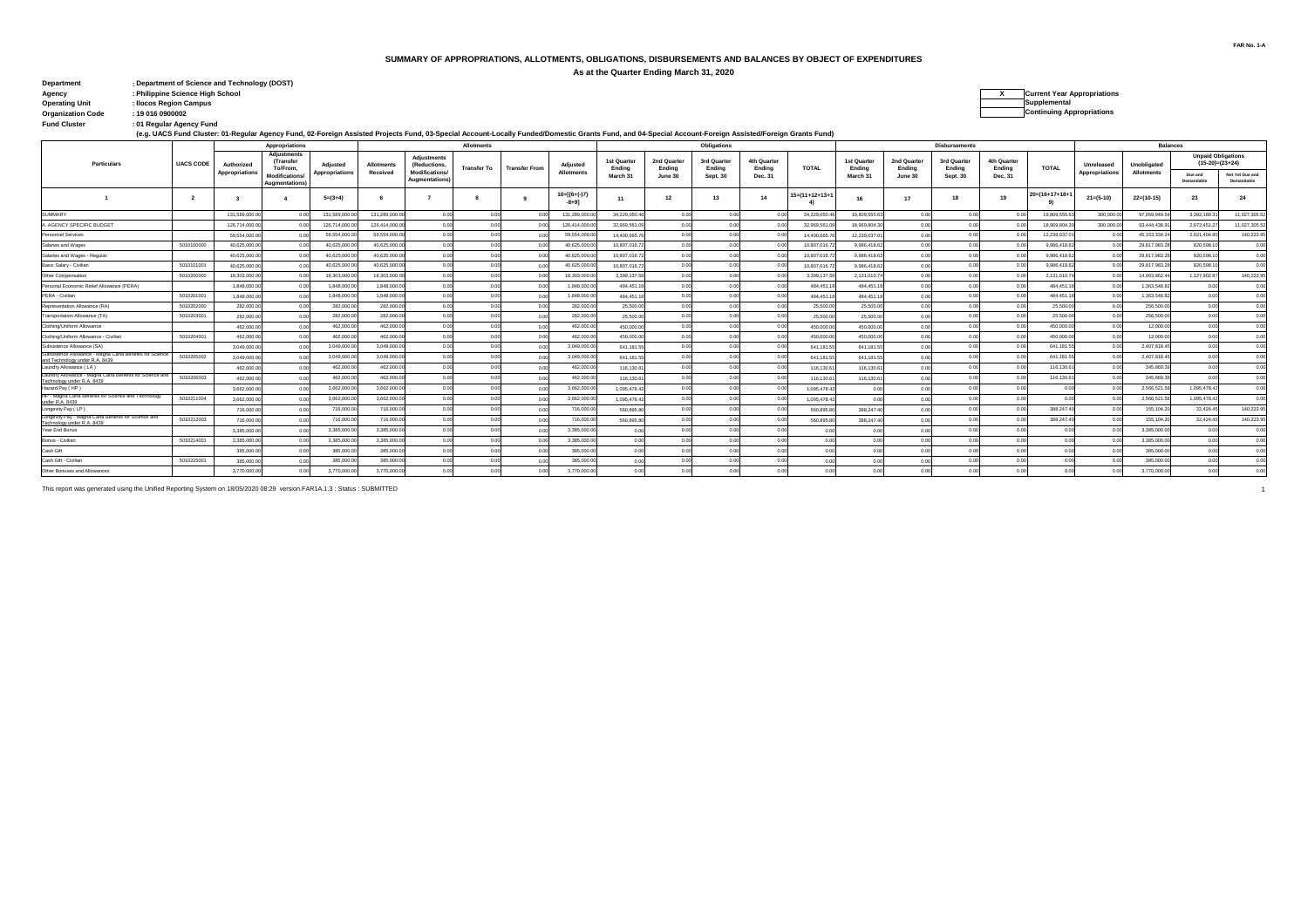#### **SUMMARY OF APPROPRIATIONS, ALLOTMENTS, OBLIGATIONS, DISBURSEMENTS AND BALANCES BY OBJECT OF EXPENDITURES**

**As at the Quarter Ending March 31, 2020**

| <b>Department</b>        | : Department of Science and Technology (DOST) |                                    |
|--------------------------|-----------------------------------------------|------------------------------------|
| Agency                   | : Philippine Science High School              | <b>Current Year Appropriations</b> |
| <b>Operating Unit</b>    | : Ilocos Region Campus                        | Supplemental                       |
| <b>Organization Code</b> | : 19 016 0900002                              | <b>Continuing Appropriations</b>   |
| <b>Fund Cluster</b>      | : 01 Regular Agency Fund                      |                                    |

| <b>Current Year Appropriations</b>   |
|--------------------------------------|
| Supplemental                         |
| Acceptance of the American startings |

of Regular Agency Fund:<br>(e.g. UACS Fund Cluster: 01-Regular Agency Fund, 02-Foreign Assisted Projects Fund, 03-Special Account-Locally Funded/Domestic Grants Fund, and 04-Special Account-Foreign Assisted/Foreign Grants Fun

| <b>Balances</b><br>Allotments<br><b>Obligations</b><br>Appropriations<br><b>Adjustments</b><br><b>Unpaid Obligations</b><br><b>Adjustments</b><br>3rd Quarter<br>4th Quarter<br>4th Quarter<br>(Transfer<br>1st Quarte<br>2nd Quarte<br>1st Quarter<br>2nd Quarter<br>3rd Quarter<br>$(15-20)=(23+24)$<br><b>UACS CODE</b><br>Particulars<br>Authorized<br>Adjusted<br>(Reductions,<br>Adjusted<br>Unreleased<br>Unobligated<br><b>Allotments</b><br><b>TOTAL</b><br><b>TOTAL</b><br><b>Transfer To</b><br>To/From.<br><b>Transfer From</b><br>Ending<br>Ending<br>Ending<br>Ending<br>Ending<br>Endina<br>Ending<br>Ending<br><b>Modifications</b><br>Appropriations<br>Appropriations<br>Received<br><b>Allotments</b><br><b>Allotments</b><br>Appropriations<br>Due and<br><b>Modifications</b><br>March 31<br>June 30<br>Sept. 30<br>Dec. 31<br>March 31<br>June 30<br>Sept. 30<br>Dec. 31<br>Augmentations<br>Demandable<br>Demandable<br>Augmentations<br>$10=[(6+(-)7)$<br>$15 = (11 + 12 + 13 + 1)$<br>$20=(16+17+18+$<br>12<br>24<br>$5=(3+4)$<br>13<br>14<br>$21 = (5-10)$<br>$22=(10-15)$<br>23<br>18<br>16<br>17<br>11<br>$-8 + 91$<br><b>SUMMARY</b><br>131,589,000<br>131.289.000.0<br>0.00<br>131.289.000.0<br>0.00<br>19.809.555.<br>300,000.0<br>97.059.949.5<br>3.392.189.3<br>34.229.050.4<br>0.00<br>0.0<br>34.229.050.<br>19.809.555.6<br>0.00<br>131.589.000.<br>0.01<br>18.969.804.3<br>126,714,000.0<br>126,714,000<br>126,414,000.<br>32.969.561.0<br>0.0<br>32.969.561<br>300,000.0<br>93,444,438.<br>2,972,451.2<br>AGENCY SPECIFIC BUDGET<br>126.414.000.<br>18.969.804.<br>00°<br>59.554.000<br>59.554.000.0<br>59.554.000.0<br>45.153.334.2<br>59,554,000<br>0.01<br>14.400.665.<br>0.00<br>14,400,665<br>12.239.037<br>0.00<br>12.239.037.<br>2.021.404.8<br>Personnel Services<br>0.0<br>0.01<br>0 <sup>4</sup><br>40.625.000.<br>40.625.000.0<br>40.625.000.0<br>29.817.983.2<br>5010100000<br>0.00<br>0.00<br>9.986.418.6<br>820,598.10<br>0.00<br>0.00<br>0.00<br>0.00<br>Salaries and Wages<br>40.625.000.<br>10.807.016.7<br>10.807.016.7<br>9.986.418.6<br>0.01<br>40.625.000.0<br>40.625.000.<br>40.625.000.0<br>0.01<br>40.625.000.0<br>10.807.016.72<br>0.00<br>10.807.016.7<br>9,986,418.62<br>0.01<br>9.986.418.6<br>29,817,983.2<br>820,598.10<br>Salaries and Wages - Regular<br>00<br>0.00<br>0.00<br>0.00<br>00<br>5010101001<br>40.625.000.<br>40.625.000.0<br>40.625.000.0<br>29.817.983.2<br>820,598.1<br>0.00<br>9.986.418.6<br>0.01<br>Basic Salary - Civilian<br>10.807.016.7<br>0.00<br>10.807.016.7<br>40.625.000.0<br>9.986.418.62<br>18.303.000.<br>18,303,000.0<br>18.303.000.0<br>2.131.010.74<br>1.127.902.87<br>5010200000<br>18,303,000.0<br>0.00<br>3.399.137.5<br>0.0<br>3.399.137.5<br>0.01<br>2.131.010.7<br>14.903.862.4<br>Other Compensation<br>-0.00<br>0.00<br>1.848.000.<br>1.848.000.00<br>0.00<br>1.848.000.0<br>0.00<br>484.451.1<br>1.363.548.8<br>Personal Economic Relief Allowance (PERA)<br>0.00<br>0.00<br>0.00<br>00<br>0.00<br>484.451.1<br>1.848,000.0<br>484.451.<br>484,451.1<br>5010201001<br>1.848.000.0<br>1,848,000.<br>1.848.000.0<br>0.00<br>1.848.000.0<br>484.451.1<br>0.00<br>484.451.18<br>0.01<br>484.451.1<br>1.363.548.8<br>PERA - Civilian<br>0.00<br>484.451.<br>0.00<br>0.00<br>0.00<br>00<br>00<br>282,000.0<br>25,500.0<br>5010202000<br>282,000.<br>282,000.0<br>0.00<br>0.00<br>0.00<br>0.00<br>256,500.0<br>0 <sup>0</sup><br>Representation Allowance (RA)<br>282.000.0<br>25,500.0<br>25,500.0<br>25,500.0<br>0.01<br>0.00<br>0.00<br>282,000.<br>282,000.0<br>282,000.0<br>0.00<br>0.00<br>25,500.0<br>256,500.0<br>Transportation Allowance (TA)<br>5010203001<br>282,000.0<br>25,500.0<br>0.00<br>25.500.0<br>25,500.00<br>0.00<br>0 <sup>0</sup><br>0.00<br>0.01<br>462,000.0<br>462,000.<br>462,000.0<br>462,000.0<br>450,000.0<br>450,000.0<br>450.000.00<br>450,000.<br>12,000.0<br>Clothing/Uniform Allowance<br>0.00<br>0.01<br>0.00<br>0.00<br>0.00<br>0.00<br>0.00<br>00<br>0 <sup>0</sup><br>5010204001<br>462,000.0<br>462,000.0<br>462,000.0<br>450,000.0<br>12,000.0<br>Clothing/Uniform Allowance - Civilian<br>462,000.0<br>0.00<br>0.00<br>450,000.0<br>0.00<br>0.00<br>0.00<br>450,000.00<br>0.00<br>0.00<br>0.00<br>0.00<br>450,000.0<br>00<br>3.049.000.0<br>3.049.000.0<br>3.049.000.0<br>0.00<br>3.049.000<br>0.00<br>641.181.55<br>0.00<br>0.00<br>641.181.5<br>641,181.55<br>0.00<br>641,181.5<br>2,407,818.4<br>Subsistence Allowance (SA)<br>0.00<br>0.00<br>0.00<br>0 <sup>o</sup><br>Subsistence Atlowance - Magna Carta Benefits for Science<br>3.049.000.<br>3.049.000.0<br>3.049.000.<br>641.181.5<br>641.181.5<br>641.181.<br>5010205002<br>3.049.000.0<br>641.181.<br>0.01<br>2.407.818.4<br>00<br>and Technology under R.A. 8439<br>462.000.0<br>462.000.0<br>116,130.61<br>116.130.6<br>0.00<br>462,000.<br>462,000.00<br>0.00<br>0.00<br>0.00<br>116,130.6<br>0.00<br>0.00<br>116,130.6<br>345,869.3<br>0.00<br>0.0<br>0 <sup>o</sup><br>Laundry Allowance (LA)<br>Laundry Allowance - Magna Carta Benefits for Science an<br>5010206003<br>462.000.0<br>462,000.0<br>462,000.00<br>462.000.0<br>116.130.61<br>0.00<br>116.130.6<br>116.130.6<br>345.869.3<br>0.00<br>0.00<br>116,130.6<br>n or<br>Technology under R.A. 8439<br>3.662.000.0<br>3.662.000.00<br>0.00<br>3.662.000.0<br>0.00<br>0.00<br>2.566.521.5<br>1.095.478.42<br>Hazard Pay (HP)<br>3,662,000.0<br>1.095.478.42<br>0.00<br>0.00<br>00<br>00<br>1.095.478.4<br>0.01<br>00<br>00<br>HP - Magna Carta Benefits for Science and Technolog<br>5010211004<br>3,662,000.<br>3.662.000.0<br>0.00<br>3.662.000.0<br>0.00<br>2.566.521.5<br>1.095.478.42<br>0.00<br>0.00<br>0.00<br>3,662,000.0<br>1.095.478.4<br>1.095.478.4<br>under R.A. 8439<br>716,000.<br>716,000.0<br>716,000.0<br>0.00<br>388,247.4<br>155,104.2<br>32,424.4<br>0.00<br>0.00<br>388.247.4<br>Longevity Pay (LP)<br>716,000.0<br>560,895.8<br>0.00<br>0.01<br>0.00<br>00<br>560,895.8<br>00<br>Longewty Pay - Magna Carta Benefits for Science and<br>716,000.0<br>716,000.00<br>0.00<br>716,000.0<br>0.00<br>388,247.4<br>155, 104.2<br>32,424.45<br>5010212003<br>0.00<br>716,000.0<br>560,895.8<br>0.00<br>560,895.8<br>388.247.40<br>0.00<br>Technology under R.A. 8439<br>3.385.000<br>3.385.000.<br>3.385.000.0<br>3.385.000.0<br>0.00<br>0.00<br>Year End Bonus<br>0.01<br>0.00<br>0.00<br>3,385,000.0<br>0.00<br>0.00<br>5010214001<br>3.385.000.0<br>3.385.000<br>3.385.000.0<br>0.00<br>3.385.000.0<br>0.00<br>0.00<br>3.385.000.0<br>Bonus - Civilian<br>00<br>0.00<br>0.00<br>0.00<br>0 <sub>0</sub><br>0.00<br>0 <sup>o</sup><br>385,000.<br>385,000.0<br>385,000.0<br>Cash Gift<br>0.00<br>0.00<br>0.00<br>385,000.0<br>0.00<br>0.00<br>0.00<br>0 <sup>o</sup><br>385,000.0<br>0.00<br>0.00<br>0.00<br>00<br>Cash Gift - Civilian<br>5010215001<br>385,000.<br>385,000.00<br>0.01<br>385,000.0<br>0.00<br>0.00<br>0.00<br>0 <sup>0<sup>c</sup></sup><br>0.00<br>385,000.0<br>0 <sup>o</sup><br>385,000.0<br>0.00<br>0.00<br>3.770.000.0<br>3.770.000.<br>3,770,000.0<br>3.770.000.0<br>0.00<br>3.770.000.0<br>0.01<br>Other Bonuses and Allowances<br>0.00 |  |  |  |  |  |  |  |  |  |  |  |  |                      |  |  |  |  |  |                            |  |
|--------------------------------------------------------------------------------------------------------------------------------------------------------------------------------------------------------------------------------------------------------------------------------------------------------------------------------------------------------------------------------------------------------------------------------------------------------------------------------------------------------------------------------------------------------------------------------------------------------------------------------------------------------------------------------------------------------------------------------------------------------------------------------------------------------------------------------------------------------------------------------------------------------------------------------------------------------------------------------------------------------------------------------------------------------------------------------------------------------------------------------------------------------------------------------------------------------------------------------------------------------------------------------------------------------------------------------------------------------------------------------------------------------------------------------------------------------------------------------------------------------------------------------------------------------------------------------------------------------------------------------------------------------------------------------------------------------------------------------------------------------------------------------------------------------------------------------------------------------------------------------------------------------------------------------------------------------------------------------------------------------------------------------------------------------------------------------------------------------------------------------------------------------------------------------------------------------------------------------------------------------------------------------------------------------------------------------------------------------------------------------------------------------------------------------------------------------------------------------------------------------------------------------------------------------------------------------------------------------------------------------------------------------------------------------------------------------------------------------------------------------------------------------------------------------------------------------------------------------------------------------------------------------------------------------------------------------------------------------------------------------------------------------------------------------------------------------------------------------------------------------------------------------------------------------------------------------------------------------------------------------------------------------------------------------------------------------------------------------------------------------------------------------------------------------------------------------------------------------------------------------------------------------------------------------------------------------------------------------------------------------------------------------------------------------------------------------------------------------------------------------------------------------------------------------------------------------------------------------------------------------------------------------------------------------------------------------------------------------------------------------------------------------------------------------------------------------------------------------------------------------------------------------------------------------------------------------------------------------------------------------------------------------------------------------------------------------------------------------------------------------------------------------------------------------------------------------------------------------------------------------------------------------------------------------------------------------------------------------------------------------------------------------------------------------------------------------------------------------------------------------------------------------------------------------------------------------------------------------------------------------------------------------------------------------------------------------------------------------------------------------------------------------------------------------------------------------------------------------------------------------------------------------------------------------------------------------------------------------------------------------------------------------------------------------------------------------------------------------------------------------------------------------------------------------------------------------------------------------------------------------------------------------------------------------------------------------------------------------------------------------------------------------------------------------------------------------------------------------------------------------------------------------------------------------------------------------------------------------------------------------------------------------------------------------------------------------------------------------------------------------------------------------------------------------------------------------------------------------------------------------------------------------------------------------------------------------------------------------------------------------------------------------------------------------------------------------------------------------------------------------------------------------------------------------------------------------------------------------------------------------------------------------------------------------------------------------------------------------------------------------------------------------------------------------------------------------------------------------------------------------------------------------------------------------------------------------------------------------------------------------------------------------------------------------------------------------------------------------------------------------------------------------------------------------------------------------------------------------------------------------------------------------------|--|--|--|--|--|--|--|--|--|--|--|--|----------------------|--|--|--|--|--|----------------------------|--|
|                                                                                                                                                                                                                                                                                                                                                                                                                                                                                                                                                                                                                                                                                                                                                                                                                                                                                                                                                                                                                                                                                                                                                                                                                                                                                                                                                                                                                                                                                                                                                                                                                                                                                                                                                                                                                                                                                                                                                                                                                                                                                                                                                                                                                                                                                                                                                                                                                                                                                                                                                                                                                                                                                                                                                                                                                                                                                                                                                                                                                                                                                                                                                                                                                                                                                                                                                                                                                                                                                                                                                                                                                                                                                                                                                                                                                                                                                                                                                                                                                                                                                                                                                                                                                                                                                                                                                                                                                                                                                                                                                                                                                                                                                                                                                                                                                                                                                                                                                                                                                                                                                                                                                                                                                                                                                                                                                                                                                                                                                                                                                                                                                                                                                                                                                                                                                                                                                                                                                                                                                                                                                                                                                                                                                                                                                                                                                                                                                                                                                                                                                                                                                                                                                                                                                                                                                                                                                                                                                                                                                                                                                                                                                              |  |  |  |  |  |  |  |  |  |  |  |  | <b>Disbursements</b> |  |  |  |  |  |                            |  |
|                                                                                                                                                                                                                                                                                                                                                                                                                                                                                                                                                                                                                                                                                                                                                                                                                                                                                                                                                                                                                                                                                                                                                                                                                                                                                                                                                                                                                                                                                                                                                                                                                                                                                                                                                                                                                                                                                                                                                                                                                                                                                                                                                                                                                                                                                                                                                                                                                                                                                                                                                                                                                                                                                                                                                                                                                                                                                                                                                                                                                                                                                                                                                                                                                                                                                                                                                                                                                                                                                                                                                                                                                                                                                                                                                                                                                                                                                                                                                                                                                                                                                                                                                                                                                                                                                                                                                                                                                                                                                                                                                                                                                                                                                                                                                                                                                                                                                                                                                                                                                                                                                                                                                                                                                                                                                                                                                                                                                                                                                                                                                                                                                                                                                                                                                                                                                                                                                                                                                                                                                                                                                                                                                                                                                                                                                                                                                                                                                                                                                                                                                                                                                                                                                                                                                                                                                                                                                                                                                                                                                                                                                                                                                              |  |  |  |  |  |  |  |  |  |  |  |  |                      |  |  |  |  |  |                            |  |
|                                                                                                                                                                                                                                                                                                                                                                                                                                                                                                                                                                                                                                                                                                                                                                                                                                                                                                                                                                                                                                                                                                                                                                                                                                                                                                                                                                                                                                                                                                                                                                                                                                                                                                                                                                                                                                                                                                                                                                                                                                                                                                                                                                                                                                                                                                                                                                                                                                                                                                                                                                                                                                                                                                                                                                                                                                                                                                                                                                                                                                                                                                                                                                                                                                                                                                                                                                                                                                                                                                                                                                                                                                                                                                                                                                                                                                                                                                                                                                                                                                                                                                                                                                                                                                                                                                                                                                                                                                                                                                                                                                                                                                                                                                                                                                                                                                                                                                                                                                                                                                                                                                                                                                                                                                                                                                                                                                                                                                                                                                                                                                                                                                                                                                                                                                                                                                                                                                                                                                                                                                                                                                                                                                                                                                                                                                                                                                                                                                                                                                                                                                                                                                                                                                                                                                                                                                                                                                                                                                                                                                                                                                                                                              |  |  |  |  |  |  |  |  |  |  |  |  |                      |  |  |  |  |  | Not Yet Due and            |  |
|                                                                                                                                                                                                                                                                                                                                                                                                                                                                                                                                                                                                                                                                                                                                                                                                                                                                                                                                                                                                                                                                                                                                                                                                                                                                                                                                                                                                                                                                                                                                                                                                                                                                                                                                                                                                                                                                                                                                                                                                                                                                                                                                                                                                                                                                                                                                                                                                                                                                                                                                                                                                                                                                                                                                                                                                                                                                                                                                                                                                                                                                                                                                                                                                                                                                                                                                                                                                                                                                                                                                                                                                                                                                                                                                                                                                                                                                                                                                                                                                                                                                                                                                                                                                                                                                                                                                                                                                                                                                                                                                                                                                                                                                                                                                                                                                                                                                                                                                                                                                                                                                                                                                                                                                                                                                                                                                                                                                                                                                                                                                                                                                                                                                                                                                                                                                                                                                                                                                                                                                                                                                                                                                                                                                                                                                                                                                                                                                                                                                                                                                                                                                                                                                                                                                                                                                                                                                                                                                                                                                                                                                                                                                                              |  |  |  |  |  |  |  |  |  |  |  |  |                      |  |  |  |  |  |                            |  |
|                                                                                                                                                                                                                                                                                                                                                                                                                                                                                                                                                                                                                                                                                                                                                                                                                                                                                                                                                                                                                                                                                                                                                                                                                                                                                                                                                                                                                                                                                                                                                                                                                                                                                                                                                                                                                                                                                                                                                                                                                                                                                                                                                                                                                                                                                                                                                                                                                                                                                                                                                                                                                                                                                                                                                                                                                                                                                                                                                                                                                                                                                                                                                                                                                                                                                                                                                                                                                                                                                                                                                                                                                                                                                                                                                                                                                                                                                                                                                                                                                                                                                                                                                                                                                                                                                                                                                                                                                                                                                                                                                                                                                                                                                                                                                                                                                                                                                                                                                                                                                                                                                                                                                                                                                                                                                                                                                                                                                                                                                                                                                                                                                                                                                                                                                                                                                                                                                                                                                                                                                                                                                                                                                                                                                                                                                                                                                                                                                                                                                                                                                                                                                                                                                                                                                                                                                                                                                                                                                                                                                                                                                                                                                              |  |  |  |  |  |  |  |  |  |  |  |  |                      |  |  |  |  |  | 11.027.305.52              |  |
|                                                                                                                                                                                                                                                                                                                                                                                                                                                                                                                                                                                                                                                                                                                                                                                                                                                                                                                                                                                                                                                                                                                                                                                                                                                                                                                                                                                                                                                                                                                                                                                                                                                                                                                                                                                                                                                                                                                                                                                                                                                                                                                                                                                                                                                                                                                                                                                                                                                                                                                                                                                                                                                                                                                                                                                                                                                                                                                                                                                                                                                                                                                                                                                                                                                                                                                                                                                                                                                                                                                                                                                                                                                                                                                                                                                                                                                                                                                                                                                                                                                                                                                                                                                                                                                                                                                                                                                                                                                                                                                                                                                                                                                                                                                                                                                                                                                                                                                                                                                                                                                                                                                                                                                                                                                                                                                                                                                                                                                                                                                                                                                                                                                                                                                                                                                                                                                                                                                                                                                                                                                                                                                                                                                                                                                                                                                                                                                                                                                                                                                                                                                                                                                                                                                                                                                                                                                                                                                                                                                                                                                                                                                                                              |  |  |  |  |  |  |  |  |  |  |  |  |                      |  |  |  |  |  | 11,027,305.52              |  |
|                                                                                                                                                                                                                                                                                                                                                                                                                                                                                                                                                                                                                                                                                                                                                                                                                                                                                                                                                                                                                                                                                                                                                                                                                                                                                                                                                                                                                                                                                                                                                                                                                                                                                                                                                                                                                                                                                                                                                                                                                                                                                                                                                                                                                                                                                                                                                                                                                                                                                                                                                                                                                                                                                                                                                                                                                                                                                                                                                                                                                                                                                                                                                                                                                                                                                                                                                                                                                                                                                                                                                                                                                                                                                                                                                                                                                                                                                                                                                                                                                                                                                                                                                                                                                                                                                                                                                                                                                                                                                                                                                                                                                                                                                                                                                                                                                                                                                                                                                                                                                                                                                                                                                                                                                                                                                                                                                                                                                                                                                                                                                                                                                                                                                                                                                                                                                                                                                                                                                                                                                                                                                                                                                                                                                                                                                                                                                                                                                                                                                                                                                                                                                                                                                                                                                                                                                                                                                                                                                                                                                                                                                                                                                              |  |  |  |  |  |  |  |  |  |  |  |  |                      |  |  |  |  |  | 140,223.95                 |  |
|                                                                                                                                                                                                                                                                                                                                                                                                                                                                                                                                                                                                                                                                                                                                                                                                                                                                                                                                                                                                                                                                                                                                                                                                                                                                                                                                                                                                                                                                                                                                                                                                                                                                                                                                                                                                                                                                                                                                                                                                                                                                                                                                                                                                                                                                                                                                                                                                                                                                                                                                                                                                                                                                                                                                                                                                                                                                                                                                                                                                                                                                                                                                                                                                                                                                                                                                                                                                                                                                                                                                                                                                                                                                                                                                                                                                                                                                                                                                                                                                                                                                                                                                                                                                                                                                                                                                                                                                                                                                                                                                                                                                                                                                                                                                                                                                                                                                                                                                                                                                                                                                                                                                                                                                                                                                                                                                                                                                                                                                                                                                                                                                                                                                                                                                                                                                                                                                                                                                                                                                                                                                                                                                                                                                                                                                                                                                                                                                                                                                                                                                                                                                                                                                                                                                                                                                                                                                                                                                                                                                                                                                                                                                                              |  |  |  |  |  |  |  |  |  |  |  |  |                      |  |  |  |  |  | 0.00                       |  |
|                                                                                                                                                                                                                                                                                                                                                                                                                                                                                                                                                                                                                                                                                                                                                                                                                                                                                                                                                                                                                                                                                                                                                                                                                                                                                                                                                                                                                                                                                                                                                                                                                                                                                                                                                                                                                                                                                                                                                                                                                                                                                                                                                                                                                                                                                                                                                                                                                                                                                                                                                                                                                                                                                                                                                                                                                                                                                                                                                                                                                                                                                                                                                                                                                                                                                                                                                                                                                                                                                                                                                                                                                                                                                                                                                                                                                                                                                                                                                                                                                                                                                                                                                                                                                                                                                                                                                                                                                                                                                                                                                                                                                                                                                                                                                                                                                                                                                                                                                                                                                                                                                                                                                                                                                                                                                                                                                                                                                                                                                                                                                                                                                                                                                                                                                                                                                                                                                                                                                                                                                                                                                                                                                                                                                                                                                                                                                                                                                                                                                                                                                                                                                                                                                                                                                                                                                                                                                                                                                                                                                                                                                                                                                              |  |  |  |  |  |  |  |  |  |  |  |  |                      |  |  |  |  |  | 0.00                       |  |
|                                                                                                                                                                                                                                                                                                                                                                                                                                                                                                                                                                                                                                                                                                                                                                                                                                                                                                                                                                                                                                                                                                                                                                                                                                                                                                                                                                                                                                                                                                                                                                                                                                                                                                                                                                                                                                                                                                                                                                                                                                                                                                                                                                                                                                                                                                                                                                                                                                                                                                                                                                                                                                                                                                                                                                                                                                                                                                                                                                                                                                                                                                                                                                                                                                                                                                                                                                                                                                                                                                                                                                                                                                                                                                                                                                                                                                                                                                                                                                                                                                                                                                                                                                                                                                                                                                                                                                                                                                                                                                                                                                                                                                                                                                                                                                                                                                                                                                                                                                                                                                                                                                                                                                                                                                                                                                                                                                                                                                                                                                                                                                                                                                                                                                                                                                                                                                                                                                                                                                                                                                                                                                                                                                                                                                                                                                                                                                                                                                                                                                                                                                                                                                                                                                                                                                                                                                                                                                                                                                                                                                                                                                                                                              |  |  |  |  |  |  |  |  |  |  |  |  |                      |  |  |  |  |  | 0.00                       |  |
|                                                                                                                                                                                                                                                                                                                                                                                                                                                                                                                                                                                                                                                                                                                                                                                                                                                                                                                                                                                                                                                                                                                                                                                                                                                                                                                                                                                                                                                                                                                                                                                                                                                                                                                                                                                                                                                                                                                                                                                                                                                                                                                                                                                                                                                                                                                                                                                                                                                                                                                                                                                                                                                                                                                                                                                                                                                                                                                                                                                                                                                                                                                                                                                                                                                                                                                                                                                                                                                                                                                                                                                                                                                                                                                                                                                                                                                                                                                                                                                                                                                                                                                                                                                                                                                                                                                                                                                                                                                                                                                                                                                                                                                                                                                                                                                                                                                                                                                                                                                                                                                                                                                                                                                                                                                                                                                                                                                                                                                                                                                                                                                                                                                                                                                                                                                                                                                                                                                                                                                                                                                                                                                                                                                                                                                                                                                                                                                                                                                                                                                                                                                                                                                                                                                                                                                                                                                                                                                                                                                                                                                                                                                                                              |  |  |  |  |  |  |  |  |  |  |  |  |                      |  |  |  |  |  | 140.223.95                 |  |
|                                                                                                                                                                                                                                                                                                                                                                                                                                                                                                                                                                                                                                                                                                                                                                                                                                                                                                                                                                                                                                                                                                                                                                                                                                                                                                                                                                                                                                                                                                                                                                                                                                                                                                                                                                                                                                                                                                                                                                                                                                                                                                                                                                                                                                                                                                                                                                                                                                                                                                                                                                                                                                                                                                                                                                                                                                                                                                                                                                                                                                                                                                                                                                                                                                                                                                                                                                                                                                                                                                                                                                                                                                                                                                                                                                                                                                                                                                                                                                                                                                                                                                                                                                                                                                                                                                                                                                                                                                                                                                                                                                                                                                                                                                                                                                                                                                                                                                                                                                                                                                                                                                                                                                                                                                                                                                                                                                                                                                                                                                                                                                                                                                                                                                                                                                                                                                                                                                                                                                                                                                                                                                                                                                                                                                                                                                                                                                                                                                                                                                                                                                                                                                                                                                                                                                                                                                                                                                                                                                                                                                                                                                                                                              |  |  |  |  |  |  |  |  |  |  |  |  |                      |  |  |  |  |  | 0.00                       |  |
|                                                                                                                                                                                                                                                                                                                                                                                                                                                                                                                                                                                                                                                                                                                                                                                                                                                                                                                                                                                                                                                                                                                                                                                                                                                                                                                                                                                                                                                                                                                                                                                                                                                                                                                                                                                                                                                                                                                                                                                                                                                                                                                                                                                                                                                                                                                                                                                                                                                                                                                                                                                                                                                                                                                                                                                                                                                                                                                                                                                                                                                                                                                                                                                                                                                                                                                                                                                                                                                                                                                                                                                                                                                                                                                                                                                                                                                                                                                                                                                                                                                                                                                                                                                                                                                                                                                                                                                                                                                                                                                                                                                                                                                                                                                                                                                                                                                                                                                                                                                                                                                                                                                                                                                                                                                                                                                                                                                                                                                                                                                                                                                                                                                                                                                                                                                                                                                                                                                                                                                                                                                                                                                                                                                                                                                                                                                                                                                                                                                                                                                                                                                                                                                                                                                                                                                                                                                                                                                                                                                                                                                                                                                                                              |  |  |  |  |  |  |  |  |  |  |  |  |                      |  |  |  |  |  | 0.00                       |  |
|                                                                                                                                                                                                                                                                                                                                                                                                                                                                                                                                                                                                                                                                                                                                                                                                                                                                                                                                                                                                                                                                                                                                                                                                                                                                                                                                                                                                                                                                                                                                                                                                                                                                                                                                                                                                                                                                                                                                                                                                                                                                                                                                                                                                                                                                                                                                                                                                                                                                                                                                                                                                                                                                                                                                                                                                                                                                                                                                                                                                                                                                                                                                                                                                                                                                                                                                                                                                                                                                                                                                                                                                                                                                                                                                                                                                                                                                                                                                                                                                                                                                                                                                                                                                                                                                                                                                                                                                                                                                                                                                                                                                                                                                                                                                                                                                                                                                                                                                                                                                                                                                                                                                                                                                                                                                                                                                                                                                                                                                                                                                                                                                                                                                                                                                                                                                                                                                                                                                                                                                                                                                                                                                                                                                                                                                                                                                                                                                                                                                                                                                                                                                                                                                                                                                                                                                                                                                                                                                                                                                                                                                                                                                                              |  |  |  |  |  |  |  |  |  |  |  |  |                      |  |  |  |  |  | 0.00                       |  |
|                                                                                                                                                                                                                                                                                                                                                                                                                                                                                                                                                                                                                                                                                                                                                                                                                                                                                                                                                                                                                                                                                                                                                                                                                                                                                                                                                                                                                                                                                                                                                                                                                                                                                                                                                                                                                                                                                                                                                                                                                                                                                                                                                                                                                                                                                                                                                                                                                                                                                                                                                                                                                                                                                                                                                                                                                                                                                                                                                                                                                                                                                                                                                                                                                                                                                                                                                                                                                                                                                                                                                                                                                                                                                                                                                                                                                                                                                                                                                                                                                                                                                                                                                                                                                                                                                                                                                                                                                                                                                                                                                                                                                                                                                                                                                                                                                                                                                                                                                                                                                                                                                                                                                                                                                                                                                                                                                                                                                                                                                                                                                                                                                                                                                                                                                                                                                                                                                                                                                                                                                                                                                                                                                                                                                                                                                                                                                                                                                                                                                                                                                                                                                                                                                                                                                                                                                                                                                                                                                                                                                                                                                                                                                              |  |  |  |  |  |  |  |  |  |  |  |  |                      |  |  |  |  |  | 0.00                       |  |
|                                                                                                                                                                                                                                                                                                                                                                                                                                                                                                                                                                                                                                                                                                                                                                                                                                                                                                                                                                                                                                                                                                                                                                                                                                                                                                                                                                                                                                                                                                                                                                                                                                                                                                                                                                                                                                                                                                                                                                                                                                                                                                                                                                                                                                                                                                                                                                                                                                                                                                                                                                                                                                                                                                                                                                                                                                                                                                                                                                                                                                                                                                                                                                                                                                                                                                                                                                                                                                                                                                                                                                                                                                                                                                                                                                                                                                                                                                                                                                                                                                                                                                                                                                                                                                                                                                                                                                                                                                                                                                                                                                                                                                                                                                                                                                                                                                                                                                                                                                                                                                                                                                                                                                                                                                                                                                                                                                                                                                                                                                                                                                                                                                                                                                                                                                                                                                                                                                                                                                                                                                                                                                                                                                                                                                                                                                                                                                                                                                                                                                                                                                                                                                                                                                                                                                                                                                                                                                                                                                                                                                                                                                                                                              |  |  |  |  |  |  |  |  |  |  |  |  |                      |  |  |  |  |  | 0.00                       |  |
|                                                                                                                                                                                                                                                                                                                                                                                                                                                                                                                                                                                                                                                                                                                                                                                                                                                                                                                                                                                                                                                                                                                                                                                                                                                                                                                                                                                                                                                                                                                                                                                                                                                                                                                                                                                                                                                                                                                                                                                                                                                                                                                                                                                                                                                                                                                                                                                                                                                                                                                                                                                                                                                                                                                                                                                                                                                                                                                                                                                                                                                                                                                                                                                                                                                                                                                                                                                                                                                                                                                                                                                                                                                                                                                                                                                                                                                                                                                                                                                                                                                                                                                                                                                                                                                                                                                                                                                                                                                                                                                                                                                                                                                                                                                                                                                                                                                                                                                                                                                                                                                                                                                                                                                                                                                                                                                                                                                                                                                                                                                                                                                                                                                                                                                                                                                                                                                                                                                                                                                                                                                                                                                                                                                                                                                                                                                                                                                                                                                                                                                                                                                                                                                                                                                                                                                                                                                                                                                                                                                                                                                                                                                                                              |  |  |  |  |  |  |  |  |  |  |  |  |                      |  |  |  |  |  | 0.00                       |  |
|                                                                                                                                                                                                                                                                                                                                                                                                                                                                                                                                                                                                                                                                                                                                                                                                                                                                                                                                                                                                                                                                                                                                                                                                                                                                                                                                                                                                                                                                                                                                                                                                                                                                                                                                                                                                                                                                                                                                                                                                                                                                                                                                                                                                                                                                                                                                                                                                                                                                                                                                                                                                                                                                                                                                                                                                                                                                                                                                                                                                                                                                                                                                                                                                                                                                                                                                                                                                                                                                                                                                                                                                                                                                                                                                                                                                                                                                                                                                                                                                                                                                                                                                                                                                                                                                                                                                                                                                                                                                                                                                                                                                                                                                                                                                                                                                                                                                                                                                                                                                                                                                                                                                                                                                                                                                                                                                                                                                                                                                                                                                                                                                                                                                                                                                                                                                                                                                                                                                                                                                                                                                                                                                                                                                                                                                                                                                                                                                                                                                                                                                                                                                                                                                                                                                                                                                                                                                                                                                                                                                                                                                                                                                                              |  |  |  |  |  |  |  |  |  |  |  |  |                      |  |  |  |  |  | 0.00                       |  |
|                                                                                                                                                                                                                                                                                                                                                                                                                                                                                                                                                                                                                                                                                                                                                                                                                                                                                                                                                                                                                                                                                                                                                                                                                                                                                                                                                                                                                                                                                                                                                                                                                                                                                                                                                                                                                                                                                                                                                                                                                                                                                                                                                                                                                                                                                                                                                                                                                                                                                                                                                                                                                                                                                                                                                                                                                                                                                                                                                                                                                                                                                                                                                                                                                                                                                                                                                                                                                                                                                                                                                                                                                                                                                                                                                                                                                                                                                                                                                                                                                                                                                                                                                                                                                                                                                                                                                                                                                                                                                                                                                                                                                                                                                                                                                                                                                                                                                                                                                                                                                                                                                                                                                                                                                                                                                                                                                                                                                                                                                                                                                                                                                                                                                                                                                                                                                                                                                                                                                                                                                                                                                                                                                                                                                                                                                                                                                                                                                                                                                                                                                                                                                                                                                                                                                                                                                                                                                                                                                                                                                                                                                                                                                              |  |  |  |  |  |  |  |  |  |  |  |  |                      |  |  |  |  |  | 0.00                       |  |
|                                                                                                                                                                                                                                                                                                                                                                                                                                                                                                                                                                                                                                                                                                                                                                                                                                                                                                                                                                                                                                                                                                                                                                                                                                                                                                                                                                                                                                                                                                                                                                                                                                                                                                                                                                                                                                                                                                                                                                                                                                                                                                                                                                                                                                                                                                                                                                                                                                                                                                                                                                                                                                                                                                                                                                                                                                                                                                                                                                                                                                                                                                                                                                                                                                                                                                                                                                                                                                                                                                                                                                                                                                                                                                                                                                                                                                                                                                                                                                                                                                                                                                                                                                                                                                                                                                                                                                                                                                                                                                                                                                                                                                                                                                                                                                                                                                                                                                                                                                                                                                                                                                                                                                                                                                                                                                                                                                                                                                                                                                                                                                                                                                                                                                                                                                                                                                                                                                                                                                                                                                                                                                                                                                                                                                                                                                                                                                                                                                                                                                                                                                                                                                                                                                                                                                                                                                                                                                                                                                                                                                                                                                                                                              |  |  |  |  |  |  |  |  |  |  |  |  |                      |  |  |  |  |  | 0.00                       |  |
|                                                                                                                                                                                                                                                                                                                                                                                                                                                                                                                                                                                                                                                                                                                                                                                                                                                                                                                                                                                                                                                                                                                                                                                                                                                                                                                                                                                                                                                                                                                                                                                                                                                                                                                                                                                                                                                                                                                                                                                                                                                                                                                                                                                                                                                                                                                                                                                                                                                                                                                                                                                                                                                                                                                                                                                                                                                                                                                                                                                                                                                                                                                                                                                                                                                                                                                                                                                                                                                                                                                                                                                                                                                                                                                                                                                                                                                                                                                                                                                                                                                                                                                                                                                                                                                                                                                                                                                                                                                                                                                                                                                                                                                                                                                                                                                                                                                                                                                                                                                                                                                                                                                                                                                                                                                                                                                                                                                                                                                                                                                                                                                                                                                                                                                                                                                                                                                                                                                                                                                                                                                                                                                                                                                                                                                                                                                                                                                                                                                                                                                                                                                                                                                                                                                                                                                                                                                                                                                                                                                                                                                                                                                                                              |  |  |  |  |  |  |  |  |  |  |  |  |                      |  |  |  |  |  | 0.00                       |  |
|                                                                                                                                                                                                                                                                                                                                                                                                                                                                                                                                                                                                                                                                                                                                                                                                                                                                                                                                                                                                                                                                                                                                                                                                                                                                                                                                                                                                                                                                                                                                                                                                                                                                                                                                                                                                                                                                                                                                                                                                                                                                                                                                                                                                                                                                                                                                                                                                                                                                                                                                                                                                                                                                                                                                                                                                                                                                                                                                                                                                                                                                                                                                                                                                                                                                                                                                                                                                                                                                                                                                                                                                                                                                                                                                                                                                                                                                                                                                                                                                                                                                                                                                                                                                                                                                                                                                                                                                                                                                                                                                                                                                                                                                                                                                                                                                                                                                                                                                                                                                                                                                                                                                                                                                                                                                                                                                                                                                                                                                                                                                                                                                                                                                                                                                                                                                                                                                                                                                                                                                                                                                                                                                                                                                                                                                                                                                                                                                                                                                                                                                                                                                                                                                                                                                                                                                                                                                                                                                                                                                                                                                                                                                                              |  |  |  |  |  |  |  |  |  |  |  |  |                      |  |  |  |  |  | 0.00                       |  |
|                                                                                                                                                                                                                                                                                                                                                                                                                                                                                                                                                                                                                                                                                                                                                                                                                                                                                                                                                                                                                                                                                                                                                                                                                                                                                                                                                                                                                                                                                                                                                                                                                                                                                                                                                                                                                                                                                                                                                                                                                                                                                                                                                                                                                                                                                                                                                                                                                                                                                                                                                                                                                                                                                                                                                                                                                                                                                                                                                                                                                                                                                                                                                                                                                                                                                                                                                                                                                                                                                                                                                                                                                                                                                                                                                                                                                                                                                                                                                                                                                                                                                                                                                                                                                                                                                                                                                                                                                                                                                                                                                                                                                                                                                                                                                                                                                                                                                                                                                                                                                                                                                                                                                                                                                                                                                                                                                                                                                                                                                                                                                                                                                                                                                                                                                                                                                                                                                                                                                                                                                                                                                                                                                                                                                                                                                                                                                                                                                                                                                                                                                                                                                                                                                                                                                                                                                                                                                                                                                                                                                                                                                                                                                              |  |  |  |  |  |  |  |  |  |  |  |  |                      |  |  |  |  |  | 0.00                       |  |
|                                                                                                                                                                                                                                                                                                                                                                                                                                                                                                                                                                                                                                                                                                                                                                                                                                                                                                                                                                                                                                                                                                                                                                                                                                                                                                                                                                                                                                                                                                                                                                                                                                                                                                                                                                                                                                                                                                                                                                                                                                                                                                                                                                                                                                                                                                                                                                                                                                                                                                                                                                                                                                                                                                                                                                                                                                                                                                                                                                                                                                                                                                                                                                                                                                                                                                                                                                                                                                                                                                                                                                                                                                                                                                                                                                                                                                                                                                                                                                                                                                                                                                                                                                                                                                                                                                                                                                                                                                                                                                                                                                                                                                                                                                                                                                                                                                                                                                                                                                                                                                                                                                                                                                                                                                                                                                                                                                                                                                                                                                                                                                                                                                                                                                                                                                                                                                                                                                                                                                                                                                                                                                                                                                                                                                                                                                                                                                                                                                                                                                                                                                                                                                                                                                                                                                                                                                                                                                                                                                                                                                                                                                                                                              |  |  |  |  |  |  |  |  |  |  |  |  |                      |  |  |  |  |  | 140,223.95                 |  |
|                                                                                                                                                                                                                                                                                                                                                                                                                                                                                                                                                                                                                                                                                                                                                                                                                                                                                                                                                                                                                                                                                                                                                                                                                                                                                                                                                                                                                                                                                                                                                                                                                                                                                                                                                                                                                                                                                                                                                                                                                                                                                                                                                                                                                                                                                                                                                                                                                                                                                                                                                                                                                                                                                                                                                                                                                                                                                                                                                                                                                                                                                                                                                                                                                                                                                                                                                                                                                                                                                                                                                                                                                                                                                                                                                                                                                                                                                                                                                                                                                                                                                                                                                                                                                                                                                                                                                                                                                                                                                                                                                                                                                                                                                                                                                                                                                                                                                                                                                                                                                                                                                                                                                                                                                                                                                                                                                                                                                                                                                                                                                                                                                                                                                                                                                                                                                                                                                                                                                                                                                                                                                                                                                                                                                                                                                                                                                                                                                                                                                                                                                                                                                                                                                                                                                                                                                                                                                                                                                                                                                                                                                                                                                              |  |  |  |  |  |  |  |  |  |  |  |  |                      |  |  |  |  |  | 140,223.95                 |  |
|                                                                                                                                                                                                                                                                                                                                                                                                                                                                                                                                                                                                                                                                                                                                                                                                                                                                                                                                                                                                                                                                                                                                                                                                                                                                                                                                                                                                                                                                                                                                                                                                                                                                                                                                                                                                                                                                                                                                                                                                                                                                                                                                                                                                                                                                                                                                                                                                                                                                                                                                                                                                                                                                                                                                                                                                                                                                                                                                                                                                                                                                                                                                                                                                                                                                                                                                                                                                                                                                                                                                                                                                                                                                                                                                                                                                                                                                                                                                                                                                                                                                                                                                                                                                                                                                                                                                                                                                                                                                                                                                                                                                                                                                                                                                                                                                                                                                                                                                                                                                                                                                                                                                                                                                                                                                                                                                                                                                                                                                                                                                                                                                                                                                                                                                                                                                                                                                                                                                                                                                                                                                                                                                                                                                                                                                                                                                                                                                                                                                                                                                                                                                                                                                                                                                                                                                                                                                                                                                                                                                                                                                                                                                                              |  |  |  |  |  |  |  |  |  |  |  |  |                      |  |  |  |  |  | 0.00                       |  |
|                                                                                                                                                                                                                                                                                                                                                                                                                                                                                                                                                                                                                                                                                                                                                                                                                                                                                                                                                                                                                                                                                                                                                                                                                                                                                                                                                                                                                                                                                                                                                                                                                                                                                                                                                                                                                                                                                                                                                                                                                                                                                                                                                                                                                                                                                                                                                                                                                                                                                                                                                                                                                                                                                                                                                                                                                                                                                                                                                                                                                                                                                                                                                                                                                                                                                                                                                                                                                                                                                                                                                                                                                                                                                                                                                                                                                                                                                                                                                                                                                                                                                                                                                                                                                                                                                                                                                                                                                                                                                                                                                                                                                                                                                                                                                                                                                                                                                                                                                                                                                                                                                                                                                                                                                                                                                                                                                                                                                                                                                                                                                                                                                                                                                                                                                                                                                                                                                                                                                                                                                                                                                                                                                                                                                                                                                                                                                                                                                                                                                                                                                                                                                                                                                                                                                                                                                                                                                                                                                                                                                                                                                                                                                              |  |  |  |  |  |  |  |  |  |  |  |  |                      |  |  |  |  |  | 0.00                       |  |
|                                                                                                                                                                                                                                                                                                                                                                                                                                                                                                                                                                                                                                                                                                                                                                                                                                                                                                                                                                                                                                                                                                                                                                                                                                                                                                                                                                                                                                                                                                                                                                                                                                                                                                                                                                                                                                                                                                                                                                                                                                                                                                                                                                                                                                                                                                                                                                                                                                                                                                                                                                                                                                                                                                                                                                                                                                                                                                                                                                                                                                                                                                                                                                                                                                                                                                                                                                                                                                                                                                                                                                                                                                                                                                                                                                                                                                                                                                                                                                                                                                                                                                                                                                                                                                                                                                                                                                                                                                                                                                                                                                                                                                                                                                                                                                                                                                                                                                                                                                                                                                                                                                                                                                                                                                                                                                                                                                                                                                                                                                                                                                                                                                                                                                                                                                                                                                                                                                                                                                                                                                                                                                                                                                                                                                                                                                                                                                                                                                                                                                                                                                                                                                                                                                                                                                                                                                                                                                                                                                                                                                                                                                                                                              |  |  |  |  |  |  |  |  |  |  |  |  |                      |  |  |  |  |  | 0.00                       |  |
|                                                                                                                                                                                                                                                                                                                                                                                                                                                                                                                                                                                                                                                                                                                                                                                                                                                                                                                                                                                                                                                                                                                                                                                                                                                                                                                                                                                                                                                                                                                                                                                                                                                                                                                                                                                                                                                                                                                                                                                                                                                                                                                                                                                                                                                                                                                                                                                                                                                                                                                                                                                                                                                                                                                                                                                                                                                                                                                                                                                                                                                                                                                                                                                                                                                                                                                                                                                                                                                                                                                                                                                                                                                                                                                                                                                                                                                                                                                                                                                                                                                                                                                                                                                                                                                                                                                                                                                                                                                                                                                                                                                                                                                                                                                                                                                                                                                                                                                                                                                                                                                                                                                                                                                                                                                                                                                                                                                                                                                                                                                                                                                                                                                                                                                                                                                                                                                                                                                                                                                                                                                                                                                                                                                                                                                                                                                                                                                                                                                                                                                                                                                                                                                                                                                                                                                                                                                                                                                                                                                                                                                                                                                                                              |  |  |  |  |  |  |  |  |  |  |  |  |                      |  |  |  |  |  | 0.00                       |  |
|                                                                                                                                                                                                                                                                                                                                                                                                                                                                                                                                                                                                                                                                                                                                                                                                                                                                                                                                                                                                                                                                                                                                                                                                                                                                                                                                                                                                                                                                                                                                                                                                                                                                                                                                                                                                                                                                                                                                                                                                                                                                                                                                                                                                                                                                                                                                                                                                                                                                                                                                                                                                                                                                                                                                                                                                                                                                                                                                                                                                                                                                                                                                                                                                                                                                                                                                                                                                                                                                                                                                                                                                                                                                                                                                                                                                                                                                                                                                                                                                                                                                                                                                                                                                                                                                                                                                                                                                                                                                                                                                                                                                                                                                                                                                                                                                                                                                                                                                                                                                                                                                                                                                                                                                                                                                                                                                                                                                                                                                                                                                                                                                                                                                                                                                                                                                                                                                                                                                                                                                                                                                                                                                                                                                                                                                                                                                                                                                                                                                                                                                                                                                                                                                                                                                                                                                                                                                                                                                                                                                                                                                                                                                                              |  |  |  |  |  |  |  |  |  |  |  |  |                      |  |  |  |  |  | 0 <sup>0<sup>c</sup></sup> |  |

This report was generated using the Unified Reporting System on 18/05/2020 08:29 version.FAR1A.1.3 ; Status : SUBMITTED 1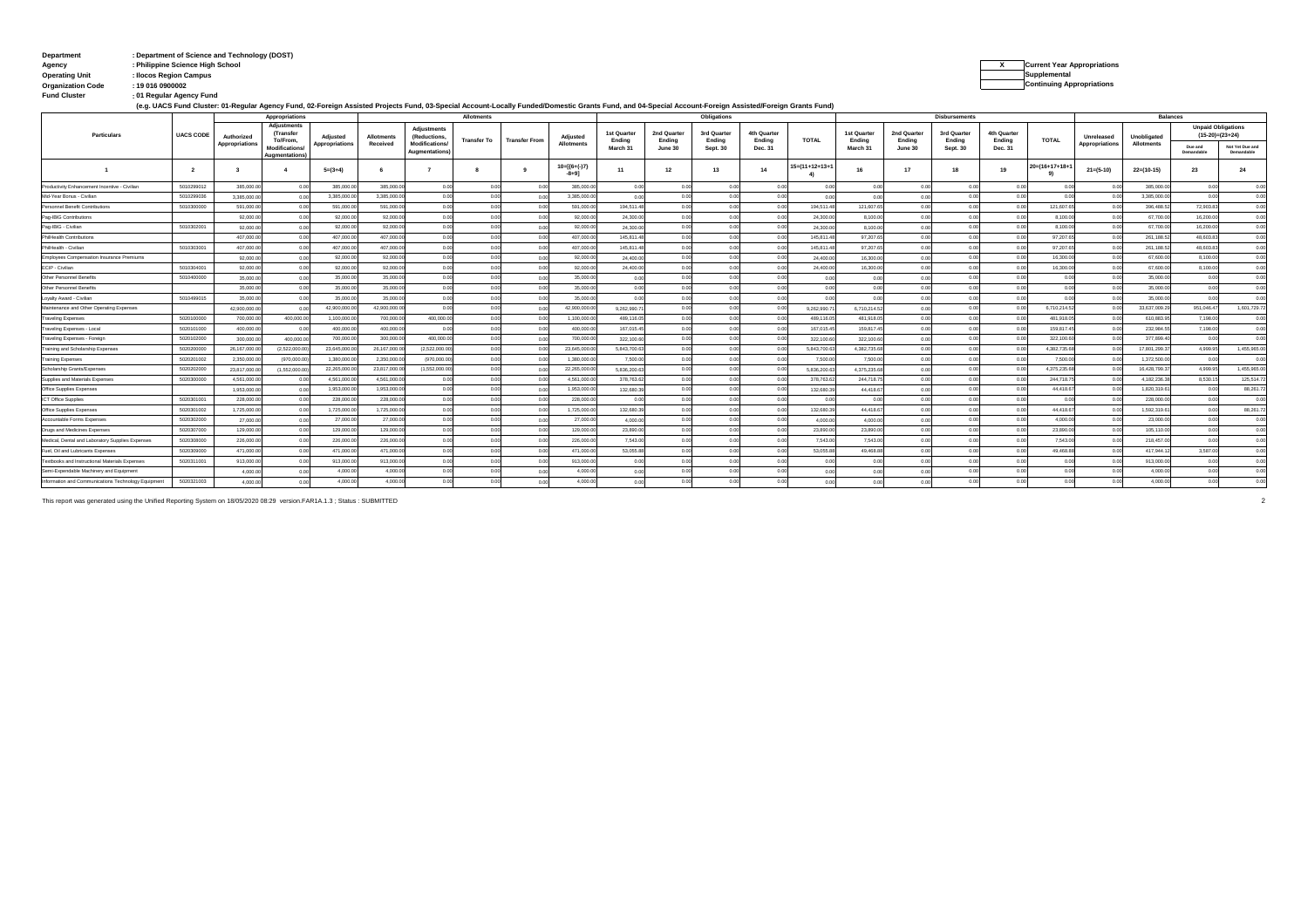# **: Department Department of Science and Technology (DOST) Agency : Philippine Science High School**

**: Fund Cluster 01 Regular Agency Fund**

**(e.g. UACS Fund Cluster: 01-Regular Agency Fund, 02-Foreign Assisted Projects Fund, 03-Special Account-Locally Funded/Domestic Grants Fund, and 04-Special Account-Foreign Assisted/Foreign Grants Fund)**

|                                                     |                  | Appropriations |                                               |                       | <b>Allotments</b> |                                       |             |                      |                              | <b>Obligations</b>    |                       |                       |                       | <b>Disbursements</b>  |                       |                       |                       |                       | <b>Balances</b>            |                |                   |                           |                               |
|-----------------------------------------------------|------------------|----------------|-----------------------------------------------|-----------------------|-------------------|---------------------------------------|-------------|----------------------|------------------------------|-----------------------|-----------------------|-----------------------|-----------------------|-----------------------|-----------------------|-----------------------|-----------------------|-----------------------|----------------------------|----------------|-------------------|---------------------------|-------------------------------|
| Particulars                                         | <b>UACS CODE</b> | Authorized     | <b>Adjustments</b><br>(Transfer<br>To/From.   | <b>Adjusted</b>       | Allotments        | <b>Adiustments</b><br>(Reductions,    | Transfer To | <b>Transfer From</b> | Adiusted                     | 1st Quarter<br>Ending | 2nd Quarter<br>Ending | 3rd Quarter<br>Ending | 4th Quarter<br>Ending | TOTAL                 | 1st Quarter<br>Ending | 2nd Quarter<br>Endina | 3rd Quarter<br>Ending | 4th Quarter<br>Ending | TOTAL                      | Unreleased     | Unobligated       | <b>Unpaid Obligations</b> | $(15-20)=(23+24)$             |
|                                                     |                  | Appropriations | <b>Modifications</b><br><b>Augmentations)</b> | <b>Appropriations</b> | Received          | <b>Modifications</b><br>Augmentations |             |                      | <b>Allotments</b>            | March 31              | June 30               | Sept. 30              | Dec. 31               |                       | March 31              | June 30               | Sept. 30              | Dec. 31               |                            | Appropriations | <b>Allotments</b> | Due and<br>Demandable     | Not Yet Due and<br>Demandable |
|                                                     | $\overline{2}$   |                |                                               | $5=(3+4)$             |                   |                                       |             |                      | $10 = [{6+(-)}7]$<br>$-8+91$ | 11                    | 12                    | 13                    | 14                    | $5 = (11 + 12 + 13 +$ | 16                    | 17                    | 18                    | 19                    | $20 = (16 + 17 + 18 +$     | $21 = (5-10)$  | $22=(10-15)$      | 23                        | 24                            |
| Productivity Enhancement Incentive - Civilian       | 5010299012       | 385,000.0      | 0 <sub>0</sub>                                | 385,000               | 385,000.          | 00                                    | 0.00        | 0.00                 | 385,000.0                    | 0.00                  |                       | 0.00                  | 0 <sup>o</sup>        | 0.00                  | 0 <sup>0</sup>        |                       | 0.00                  |                       | 0 <sub>0</sub>             | 0.00           | 385,000.0         | 0.00                      | 0.00                          |
| Mid-Year Bonus - Civilian                           | 5010299036       | 3.385.000.     |                                               | 3.385.000.0           | 3.385.000         |                                       |             |                      | 3,385,000.0                  |                       |                       | 0.00                  | 0 <sup>1</sup>        | 0.00                  |                       |                       | 0.00                  |                       | 00                         | 00             | 3.385.000.0       | 0.00                      | 0.00                          |
| Personnel Benefit Contributions                     | 5010300000       | 591,000.0      | 0 <sub>0</sub>                                | 591,000.0             | 591,000           |                                       |             | 0.00                 | 591,000.0                    | 194,511.4             |                       | 0.00                  | 0 <sup>0</sup>        | 194,511.48            | 121,607.6             |                       |                       |                       | 121,607.6                  | 0.0            | 396,488.5         | 72,903.8                  | 0.00                          |
| Pag-IBIG Contributions                              |                  | 92,000.0       |                                               | 92,000.0              | 92,000.0          |                                       | 00          | 0.00                 | 92.000.0                     | 24,300.0              |                       | 0.00                  | 0.01                  | 24,300.00             | 8.100.0               |                       |                       |                       | 8.100.0                    | 0.0            | 67,700.0          | 16,200.0                  | 0.00                          |
| Pag-IBIG - Civilian                                 | 5010302001       | 92,000.0       | 0 <sub>0</sub>                                | 92,000.00             | 92,000.0          | 000                                   |             | 0.00                 | 92,000.0                     | 24,300.0              |                       | 0.00                  | 0 <sup>o</sup>        | 24,300.00             | 8,100.0               |                       |                       |                       | 8,100.00                   | 000            | 67,700.0          | 16,200.0                  | 0.00                          |
| PhilHealth Contribution                             |                  | 407.000.0      | 0.00                                          | 407.000.0             | 407.000.0         | 0.00                                  |             | 0.00                 | 407.000.0                    | 145,811.4             |                       | 0.00                  | 0.01                  | 145,811.4             | 97.207.6              |                       |                       |                       | 97.207.6                   | 0.0            | 261.188.5         | 48,603.8                  | 0.00                          |
| PhilHealth - Civilian                               | 5010303001       | 407,000.0      |                                               | 407.000.0             | 407.000.0         | 0.00                                  |             |                      | 407.000.0                    | 145,811.4             |                       | 0.00                  | 00                    | 145,811.4             | 97,207.6              |                       |                       |                       | 97.207.6                   | 00             | 261.188.52        | 48,603.83                 | 0.00                          |
| Employees Compensation Insurance Premiums           |                  | 92,000.0       | 0.00                                          | 92,000.0              | 92,000.0          | 0.00                                  |             | 0.00                 | 92,000.0                     | 24,400.0              |                       | 0.00                  | 0.00                  | 24,400.00             | 16,300.0              |                       | 0.00                  |                       | 16,300.0                   | 0.00           | 67,600.0          | 8.100.0                   | 0.00                          |
| ECIP - Civilian                                     | 5010304001       | 92,000.0       | 0 <sub>0</sub>                                | 92,000.0              | 92,000.0          |                                       |             | 0.00                 | 92,000.0                     | 24,400.00             |                       | 0.00                  | 0.00                  | 24,400.00             | 16,300.00             |                       |                       |                       | 16,300.0                   | 0.00           | 67,600.0          | 8.100.0                   | 0.00                          |
| Other Personnel Benefits                            | 5010400000       | 35,000.0       | 0 <sub>0</sub>                                | 35,000.0              | 35,000.0          | 0.00                                  |             | 0.00                 | 35,000.0                     | 0.00                  |                       | 0.00                  | 0.00                  | 0.00                  |                       |                       | n on                  |                       | 00                         | 0.0            | 35,000.0          | 0.00                      | 0.00                          |
| Other Personnel Benefits                            |                  | 35,000.0       |                                               | 35,000.0              | 35,000.           |                                       |             | 0.00                 | 35,000.0                     | 0.00                  |                       | 0.00                  | 00                    | 0.00                  |                       |                       |                       |                       |                            | 0.00           | 35,000.0          | 00                        | 0.00                          |
| Loyalty Award - Civilian                            | 5010499015       | 35,000.0       | 0 <sub>0</sub>                                | 35,000.0              | 35,000.           |                                       |             | 0.00                 | 35,000.0                     | 0.00                  |                       | 0.00                  | 0.00                  | 0.00                  | 0.0                   |                       | 0.00                  | 0.00                  | 00                         | 000            | 35,000.0          | 0.00                      | 0.00                          |
| Maintenance and Other Operating Expenses            |                  | 42.900.000.0   |                                               | 42,900,000            | 42.900.000.0      | 0.00                                  |             | 0.00                 | 42.900.000.0                 | 9.262.990.7           |                       | 0.00                  | 00                    | 9,262,990.7           | 6,710,214.52          | n nr                  | 0.00                  | 0.00                  | 6,710,214.52               | 0.00           | 33.637.009.2      | 951.046.47                | 1,601,729.72                  |
| <b>Traveling Expenses</b>                           | 5020100000       | 700,000.0      | 400,000.0                                     | 1.100.000.0           | 700,000.0         | 400,000.0                             | 00          | 00                   | 1.100.000.0                  | 489,116.0             |                       | 0.00                  | 0 <sup>o</sup>        | 489,116.0             | 481,918.0             |                       | 0.00                  |                       | 481,918.0                  | - 0.0          | 610.883.9         | 7.198.00                  | 0.00                          |
| Fraveling Expenses - Local                          | 5020101000       | 400,000.0      | 0.00                                          | 400,000.0             | 400,000.0         | 0.00                                  | 0.00        | 0.00                 | 400,000.0                    | 167,015.4             | 00                    | 0.00                  | 0.01                  | 167,015.45            | 159,817.45            | n nr                  | 0.00                  |                       | 159.817.4                  | 0.0            | 232,984.5         | 7.198.00                  | 0.00                          |
| Traveling Expenses - Foreign                        | 5020102000       | 300,000.0      | 400,000.0                                     | 700,000.00            | 300,000.0         | 400,000.00                            | 0.00        | 0.00                 | 700,000.0                    | 322,100.6             |                       | 0.00                  | 00                    | 322.100.60            | 322.100.60            |                       | 0.00                  |                       | 322,100.60                 | 00             | 377,899.4         | 0.00                      | 0.00                          |
| Training and Scholarship Expenses                   | 5020200000       | 26,167,000.0   | (2, 522, 000.0                                | 23,645,000.0          | 26,167,000.       | (2,522,000.00)                        | 0.00        | 0.0                  | 23,645,000.0                 | 5.843.700.6           |                       | 0.00                  | 00                    | 5.843.700.63          | 4,382,735.6           |                       | 0.00                  |                       | 4,382,735.6                |                | 17,801,299.3      | 4,999.95                  | 1,455,965.00                  |
| <b>Training Expenses</b>                            | 5020201002       | 2.350.000.     | (970,000.0)                                   | 1.380.000.0           | 2.350.000         | (970,000.0)                           | 0.00        | 0.00                 | 1.380.000.0                  | 7,500.0               |                       | 0.00                  | 00                    | 7,500.00              | 7,500.00              |                       | 0.00                  |                       | 7,500.00                   | 0.0            | 1.372.500.0       | 0.00                      | 0.00                          |
| Scholarship Grants/Expenses                         | 5020202000       | 23,817,000.    | (1,552,000.0)                                 | 22,265,000.0          | 23,817,000        | (1,552,000.0)                         | 0.00        | 0.00                 | 22,265,000.0                 | 5.836.200.6           |                       | 0.00                  | 00                    | 5.836.200.6           | 4,375,235.68          |                       | 0.00                  |                       | 4,375,235.68               | 00             | 16,428,799.3      | 4,999.95                  | 1,455,965.00                  |
| Supplies and Materials Expenses                     | 5020300000       | 4.561.000.0    |                                               | 4.561.000.0           | 4.561.000         | 00                                    |             | 0.00                 | 4.561.000.0                  | 378,763.6             |                       | 0.00                  |                       | 378,763.6             | 244,718.75            |                       | 0.00                  |                       | 244,718.7                  | 0.0            | 4.182.236.3       | 8.530.1                   | 125.514.72                    |
| Office Supplies Expenser                            |                  | 1.953.000.0    |                                               | 1.953.000.0           | 1.953.000.0       |                                       | 0.00        | 00                   | 1.953.000.0                  | 132,680.3             |                       | 0.00                  | $^{\circ}$            | 132,680.3             | 44.418.67             |                       | 0.00                  |                       | 44.418.67                  | 0.0            | 1.820.319.6       | 0.00                      | 88.261.72                     |
| ICT Office Supplies                                 | 5020301001       | 228,000.0      |                                               | 228,000.0             | 228,000.0         | 0.00                                  | 0.00        | 0.00                 | 228,000.0                    | 0.00                  |                       | 0.00                  | 0 <sup>o</sup>        | 0.00                  | 0.00                  |                       | 0.00                  |                       | 0.00                       | 0.00           | 228,000.0         | 0.00                      | 0.00                          |
| Office Supplies Expenser                            | 5020301002       | 1,725,000.0    |                                               | 1.725.000.0           | 1.725.000.0       | 000                                   | 0.00        | 00                   | 1.725.000.0                  | 132,680.3             |                       | 0.00                  | 0 <sup>0</sup>        | 132,680.3             | 44.418.67             |                       | 0.00                  |                       | 44,418.6                   | 0.0            | 1.592.319.6       | 0.00                      | 88,261.72                     |
| Accountable Forms Expenses                          | 5020302000       | 27,000.0       |                                               | 27,000.0              | 27,000.0          |                                       | - 0.0       | 0.00                 | 27,000.0                     | 4,000.0               |                       | 0.00                  | 00                    | 4.000.0               | 4.000.0               |                       | n on                  |                       | 4.000.0                    | 0.0            | 23,000.0          | 0.00                      | 0.00                          |
| Drugs and Medicines Expenses                        | 5020307000       | 129,000.0      | 0 <sub>0</sub>                                | 129,000.0             | 129,000.0         | 0.00                                  | 0.00        | 0.00                 | 129,000.0                    | 23,890.0              |                       | 0.00                  | 0.01                  | 23,890.0              | 23,890.00             | 0.00                  | 0.00                  |                       | 23,890.0                   | 0.0            | 105,110.0         | 0.00                      | 0.00                          |
| Medical, Dental and Laboratory Supplies Expenses    | 5020308000       | 226,000.0      | 0 <sub>0</sub>                                | 226,000.0             | 226,000.          | 0.00                                  | 00          | 0.00                 | 226,000.0                    | 7,543.00              |                       | 0.00                  | 0.01                  | 7,543.00              | 7,543.00              | 0.00                  | 0.00                  |                       | 7,543.0                    | 0.0            | 218,457.0         | 0 <sup>0</sup>            | 0.00                          |
| Fuel, Oil and Lubricants Expenses                   | 5020309000       | 471,000.0      | 0 <sub>0</sub>                                | 471,000.0             | 471.000.0         | 0.00                                  |             | 00                   | 471,000.0                    | 53,055.88             |                       | 0.00                  | 00                    | 53.055.88             | 49.468.88             | 0.00                  | 0.00                  | 00                    | 49.468.88                  | - 0.0          | 417.944.1         | 3.587.0                   | 0.00                          |
| Textbooks and Instructional Materials Expenses      | 5020311001       | 913,000.0      |                                               | 913,000.0             | 913,000.0         | 0.00                                  |             |                      | 913,000.0                    | 0.00                  |                       | 0.00                  | 00                    | 0.00                  | 0 <sup>0</sup>        |                       | 0.00                  | 0.00                  | 0.00                       |                | 913,000.0         | 0.00                      | 0.00                          |
| Semi-Expendable Machinery and Equipment             |                  | 4,000.0        |                                               | 4,000.0               | 4.000.0           | 0 <sup>o</sup>                        |             | 0.00                 | 4.000.0                      | 0.00                  |                       | 0.00                  |                       | 0.00                  | 00                    |                       | 0.00                  | 0.01                  | 0 <sup>0<sup>c</sup></sup> |                | 4,000.0           | 0.00                      | 0.00                          |
| Information and Communications Technology Equipment | 5020321003       | 4,000.0        |                                               | 4,000.00              | 4,000.            |                                       |             |                      | 4.000.0                      | 0.00                  |                       |                       |                       |                       |                       |                       |                       |                       |                            | 0.00           | 4.000.0           | 0 <sup>o</sup>            | 0.00                          |

This report was generated using the Unified Reporting System on 18/05/2020 08:29 version.FAR1A.1.3 ; Status : SUBMITTED 2

**X Current Year Appropriations Operating Unit : Ilocos Region Campus Supplemental** 

**Organization Code : 19 016 0900002 Continuing Appropriations**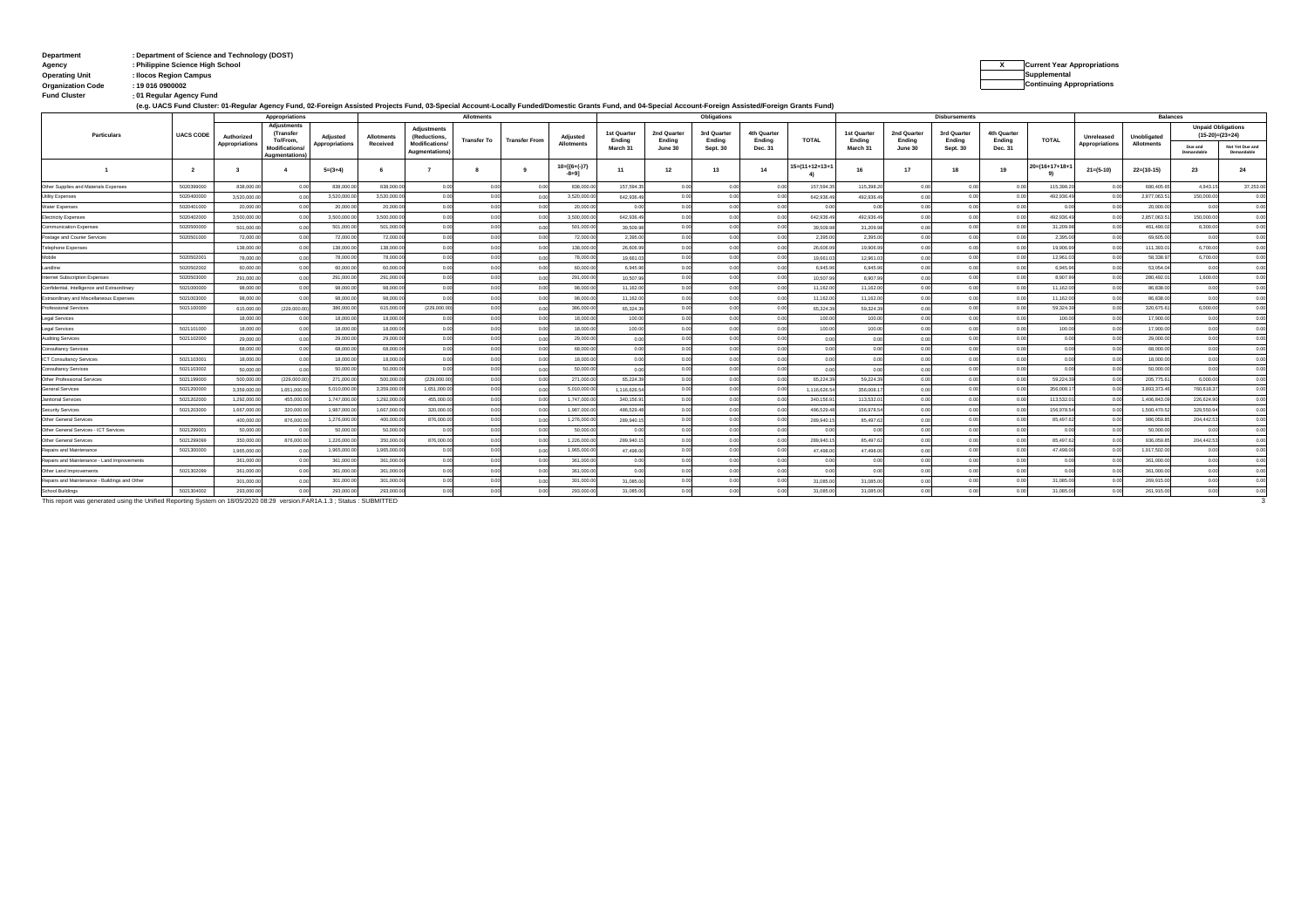# **: Department Department of Science and Technology (DOST) Agency : Philippine Science High School**

```
X Current Year Appropriations
Operating Unit : Ilocos Region Campus Supplemental
```
**: Fund Cluster 01 Regular Agency Fund Organization Code : 19 016 0900002 Continuing Appropriations**

| (e.g. UACS Fund Cluster: 01-Regular Agency Fund, 02-Foreign Assisted Projects Fund, 03-Special Account-Locally Funded/Domestic Grants Fund, and 04-Special Account-Foreign Assisted/Foreign Grants Fund) |  |
|----------------------------------------------------------------------------------------------------------------------------------------------------------------------------------------------------------|--|
|----------------------------------------------------------------------------------------------------------------------------------------------------------------------------------------------------------|--|

| Appropriations                                                                                                          |                  |                         |                                        |                 | Allotments        |                                       |                    |                      |                             | Obligations           |                       |                       |                       | <b>Disbursements</b>  |                       |                       |                       |                       | <b>Balances</b>        |                |                   |                       |                                                |
|-------------------------------------------------------------------------------------------------------------------------|------------------|-------------------------|----------------------------------------|-----------------|-------------------|---------------------------------------|--------------------|----------------------|-----------------------------|-----------------------|-----------------------|-----------------------|-----------------------|-----------------------|-----------------------|-----------------------|-----------------------|-----------------------|------------------------|----------------|-------------------|-----------------------|------------------------------------------------|
| Particulars                                                                                                             | <b>UACS CODE</b> | Authorized              | Adjustments<br>Transfer<br>To/From.    | <b>Adjusted</b> | <b>Allotments</b> | <b>Adjustments</b><br>(Reductions,    | <b>Transfer To</b> | <b>Transfer From</b> | Adjusted                    | 1st Quarter<br>Endina | 2nd Quarter<br>Ending | 3rd Quarter<br>Ending | 4th Quarter<br>Ending | <b>TOTAL</b>          | 1st Quarter<br>Ending | 2nd Quarter<br>Ending | 3rd Quarter<br>Ending | 4th Quarter<br>Ending | TOTAL                  | Unreleased     | Unobligated       |                       | <b>Unpaid Obligations</b><br>$(15-20)=(23+24)$ |
|                                                                                                                         |                  | Appropriations          | <b>Modifications</b><br>Augmentations) | Appropriations  | Received          | <b>Modifications</b><br>Augmentations |                    |                      | Allotments                  | March 31              | June 30               | Sept. 30              | Dec. 31               |                       | March 31              | June 30               | Sept. 30              | Dec. 31               |                        | Appropriations | <b>Allotments</b> | Due and<br>Demandable | Not Yet Due and<br>Demandable                  |
|                                                                                                                         | $\overline{2}$   | $\overline{\mathbf{3}}$ |                                        | $5=(3+4)$       | -6                |                                       |                    | $\bullet$            | $10=[(6+(-)7)$<br>$-8 + 91$ | 11                    | 12                    | 13                    | 14                    | $5 = (11 + 12 + 13 +$ | 16                    | 17                    | 18                    | 19                    | $10 = (16 + 17 + 18 +$ | $21 = (5-10)$  | $22=(10-15)$      | 23                    | 24                                             |
| Other Supplies and Materials Expenses                                                                                   | 5020399000       | 838,000.0               | 0.00                                   | 838,000.0       | 838,000.0         | 0.00                                  | 00                 | 00                   | 838,000.0                   | 157,594.3             | 00                    | 0.00                  | 00                    | 157,594.3             | 115,398.20            | 0.00                  | 00                    | 00                    | 115,398.2              | 00             | 680,405.6         | 4,943.15              | 37,253.00                                      |
| <b>Utility Expenses</b>                                                                                                 | 5020400000       | 3.520.000.0             | 0.00                                   | 3,520,000.      | 3,520,000.0       | 0.00                                  | 00                 | 0.01                 | 3,520,000.0                 | 642,936.4             | 0.0                   | 0.00                  | 0.00                  | 642.936.4             | 492.936.49            | 0.00                  | 0.00                  |                       | 492,936.4              | 0.0            | 2,877,063.5       | 150,000.00            | 0.00                                           |
| Water Expenses                                                                                                          | 5020401000       | 20,000.0                | 0.00                                   | 20,000.0        | 20,000.0          | 0 <sup>0</sup>                        |                    | 0.01                 | 20,000.0                    | 0.00                  |                       | 0.00                  | 0.00                  | 00                    | 0.00                  | 0.00                  |                       |                       | 0.01                   | 0.0            | 20,000.0          | 0.00                  | 0.00                                           |
| <b>Electricity Expenses</b>                                                                                             | 5020402000       | 3,500,000.0             | 0.00                                   | 3.500.000       | 3.500.000.0       | 0.00                                  | 00                 | 0.01                 | 3,500,000.0                 | 642,936.4             |                       | 0.00                  | 0.00                  | 642,936.4             | 492.936.49            | 0.00                  | 0 <sup>0</sup>        | 00                    | 492.936.4              | 0.0            | 2.857.063.5       | 150,000.0             | 0.00                                           |
| Communication Expenses                                                                                                  | 5020500000       | 501,000.0               | 00                                     | 501,000.0       | 501.000.0         | 00                                    |                    | 00                   | 501.000.00                  | 39,509.9              |                       | 0.00                  | 0.00                  | 39,509.9              | 31,209.98             | 0.00                  | 00                    | $^{\circ}$            | 31.209.9               | 0.0            | 461,490.0         | 8,300.00              | 0.00                                           |
| Postage and Courier Services                                                                                            | 5020501000       | 72,000.0                | 0.00                                   | 72,000.0        | 72,000.0          | 0 <sup>0</sup>                        |                    | 00                   | 72,000.00                   | 2,395.0               |                       | 0.00                  | 0.00                  | 2,395.0               | 2,395.00              | 0.00                  |                       |                       | 2,395.0                | 00             | 69,605.0          | 0.00                  | 0.00                                           |
| <b>Telephone Expenses</b>                                                                                               |                  | 138,000.0               | 0.00                                   | 138,000.0       | 138,000.0         | 0.00                                  |                    | 0.01                 | 138,000.0                   | 26,606.9              | 00                    | 0.00                  | 0.00                  | 26,606.9              | 19,906.99             | 0.00                  | 0.00                  | 0.00                  | 19,906.9               | 00             | 111,393.0         | 6,700.00              | 0.00                                           |
| Mobile                                                                                                                  | 5020502001       | 78,000.0                | 0.00                                   | 78,000.0        | 78,000.0          | 0.00                                  | 00                 | 0.00                 | 78,000.00                   | 19,661.03             | 00                    | 0.00                  | 0.00                  | 19,661.0              | 12,961.0              | 0.00                  | 0.00                  | 0.00                  | 12.961.0               | 0.0            | 58,338.9          | 6,700.00              | 0.00                                           |
| Landline                                                                                                                | 5020502002       | 60,000.0                | 0.00                                   | 60,000          | 60,000.0          | 0 <sup>0</sup>                        |                    | 0.01                 | 60,000.0                    | 6,945.9               |                       | 0.00                  | 0.00                  | 6.945.9               | 6,945.96              | 0.00                  |                       |                       | 6.945.9                | 0.0            | 53.054.0          | 0.00                  | 0.00                                           |
| Internet Subscription Expenses                                                                                          | 5020503000       | 291,000.0               | 0.00                                   | 291,000.0       | 291,000.0         | 00                                    |                    | 0.01                 | 291,000.0                   | 10,507.9              |                       | 0.00                  | 0.00                  | 10.507.9              | 8.907.9               | 0.00                  |                       | 00                    | 8,907.9                | 0.0            | 280.492.0         | 1,600.00              | 0.00                                           |
| Confidential, Intelligence and Extraordinary                                                                            | 5021000000       | 98,000.0                | 0.00                                   | 98,000.0        | 98,000.0          | 0.00                                  |                    | 0.01                 | 98,000.0                    | 11,162.0              |                       | 0.00                  | 0.00                  | 11,162.0              | 11,162.00             | 0.00                  | 0 <sup>o</sup>        | 00                    | 11,162.0               | 0.0            | 86,838.0          | 0.00                  | 0.00                                           |
| Extraordinary and Miscellaneous Expenses                                                                                | 5021003000       | 98,000.0                | 0.00                                   | 98,000.0        | 98,000.0          | 0.00                                  | 00                 | 0.01                 | 98,000.00                   | 11,162.0              | 00                    | 0.00                  | 0.00                  | 11,162.0              | 11,162.00             | 0.00                  | 0.00                  | 00                    | 11,162.0               | 00             | 86,838.0          | 0.00                  | 0.00                                           |
| Professional Services                                                                                                   | 5021100000       | 615,000.0               | (229,000.00)                           | 386,000.0       | 615,000.0         | (229,000.00                           | 0.00               | 0.00                 | 386,000.00                  | 65,324.39             | 0.00                  | 0.00                  | 0.00                  | 65,324.3              | 59,324.39             | 0.00                  | 0.00                  | 0.00                  | 59,324.3               | 0.0            | 320,675.6         | 6,000.00              | 0.00                                           |
| Legal Services                                                                                                          |                  | 18,000.0                | 00                                     | 18,000.0        | 18,000.0          | 0 <sup>0</sup>                        |                    | 00                   | 18,000.00                   | 100.00                | 00                    | 0.00                  | 0.00                  | 100.0                 | 100.00                | 0.00                  | 00                    |                       | 100.0                  | 0.0            | 17,900.0          | 0.00                  | 0.00                                           |
| Legal Services                                                                                                          | 5021101000       | 18,000.0                | 0.00                                   | 18,000.0        | 18,000.0          | 0.00                                  | 00                 | 0.01                 | 18,000.00                   | 100.00                |                       | 0.00                  | 0.00                  | 100.00                | 100.00                | 0.00                  | 0.00                  |                       | 100.0                  | 0.0            | 17,900.0          | 0.00                  | 0.00                                           |
| <b>Auditing Services</b>                                                                                                | 5021102000       | 29,000.0                | 0.00                                   | 29,000.0        | 29,000.0          | 0.00                                  |                    | 00                   | 29,000.0                    | 0.00                  |                       | 0.00                  | 0.00                  | 0.00                  | 0 <sup>o</sup>        | 0.00                  | 00                    |                       | 0.00                   | 00             | 29,000.0          | 0.00                  | 0.00                                           |
| Consultancy Services                                                                                                    |                  | 68,000.0                | 0.00                                   | 68,000.0        | 68,000.0          | 0 <sup>0</sup>                        |                    | 0.01                 | 68,000.00                   | 0.00                  |                       | 0.00                  | 00                    | 0.00                  | 0 <sup>o</sup>        | 0.00                  |                       | 0 <sub>0</sub>        | 0.00                   | 00             | 68,000.0          | 0.00                  | 0.00                                           |
| <b>ICT Consultancy Services</b>                                                                                         | 5021103001       | 18,000.00               | 0.00                                   | 18,000.0        | 18,000.0          | 0.00                                  | 00                 | 0.01                 | 18,000.00                   | 0.00                  |                       | 0.00                  | 0.00                  | 0.00                  | 0.00                  | 0.00                  | 0.00                  | 0.00                  | 0.00                   | 0.0            | 18,000.0          | 0.00                  | 0.00                                           |
| Consultancy Services                                                                                                    | 5021103002       | 50,000.0                | 0.00                                   | 50,000.0        | 50,000.0          | 0.00                                  |                    | 0.01                 | 50,000.00                   | 0.00                  | 00                    | 0.00                  | 0.00                  | 0.00                  | 0 <sup>o</sup>        | 0.00                  | 00                    | 0.00                  | 0.00                   | 0.0            | 50,000.0          | 0.00                  | 0.00                                           |
| Other Professional Services                                                                                             | 5021199000       | 500,000.0               | (229,000.00)                           | 271,000.0       | 500,000.0         | (229,000.01)                          |                    | 0.01                 | 271,000.00                  | 65,224.39             |                       | 0.00                  | 0.00                  | 65,224.3              | 59,224.39             | 0.00                  | 0.00                  | 00                    | 59,224.3               | 0.0            | 205,775.6         | 6,000.00              | 0.00                                           |
| General Services                                                                                                        | 5021200000       | 3,359,000.              | 1,651,000.0                            | 5.010.000.0     | 3.359.000.0       | 1.651.000.0                           | 00                 | 0.01                 | 5.010.000.0                 | 1,116,626.5           |                       | 0.00                  | 0.00                  | 1,116,626.5           | 356,008.1             | 0.00                  |                       | 00                    | 356,008.               | 00             | 3.893.373.        | 760,618.3             | 0.00                                           |
| Janitorial Services                                                                                                     | 5021202000       | 1,292,000.              | 455,000.0                              | 1,747,000.      | 1,292,000.0       | 455,000.0                             |                    | 0.01                 | 1,747,000.0                 | 340,156.9             |                       | 0.00                  | 0.00                  | 340,156.9             | 113,532.0             | 0.00                  |                       |                       | 113,532.0              | 00             | 1,406,843.        | 226,624.9             | 0.00                                           |
| Security Services                                                                                                       | 5021203000       | 1.667.000               | 320,000.0                              | 1,987,000.0     | 1,667,000.0       | 320,000.0                             | - 0                | 00                   | 1.987.000.0                 | 486,529.4             |                       | 0.00                  | 0.00                  | 486.529.              | 156,978.5             |                       |                       | 00                    | 156,978.5              | 0.0            | 1,500,470.        | 329,550.9             | 0.00                                           |
| Other General Services                                                                                                  |                  | 400,000.0               | 876,000.00                             | 1,276,000.0     | 400,000.0         | 876,000.0                             |                    | 0.01                 | 1.276.000.0                 | 289,940.1             | 0.0                   | 0.00                  | 0.00                  | 289,940.1             | 85,497.62             | 0.00                  | 0.00                  | 0.00                  | 85,497.6               | 0.0            | 986,059.8         | 204.442.53            | 0.00                                           |
| Other General Services - ICT Services                                                                                   | 5021299001       | 50,000.0                | 0.00                                   | 50,000.0        | 50,000.0          | 0.00                                  | 00                 | 0.00                 | 50,000.00                   | 0.00                  | 0.00                  | 0.00                  | 0.00                  | 0.00                  | 0.00                  | 0.00                  | 0.00                  | 0.00                  | 0.00                   | 00             | 50,000.0          | 0.00                  | 0.00                                           |
| Other General Services                                                                                                  | 5021299099       | 350,000.0               | 876,000.00                             | 1.226.000.0     | 350,000.0         | 876,000.                              |                    | 00                   | 1.226.000.0                 | 289,940.1             |                       | 0.00                  | 0.00                  | 289,940.1             | 85,497.62             | 0.00                  | 0.00                  |                       | 85.497.6               | 0.0            | 936,059.8         | 204.442.5             | 0.00                                           |
| Repairs and Maintenance                                                                                                 | 5021300000       | 1.965,000.0             | 00                                     | 1.965.000       | 1.965.000         | 0 <sup>0</sup>                        |                    | 0.01                 | 1.965.000.0                 | 47,498.0              |                       | 0.00                  | 0.00                  | 47,498.0              | 47.498.0              | 0.00                  |                       |                       | 47,498.0               | 00             | 1.917.502.        | 0.00                  | 0.00                                           |
| Repairs and Maintenance - Land Improvements                                                                             |                  | 361,000.0               | 0.00                                   | 361,000.0       | 361,000.0         | 00                                    |                    | 0.01                 | 361,000.0                   | 0.00                  |                       | 0.00                  | 0.00                  | 0.00                  | 0.01                  | 0.00                  |                       |                       | 0.00                   | 0.0            | 361,000.0         | 0.00                  | 0.00                                           |
| Other Land Improvements                                                                                                 | 5021302099       | 361,000.0               | 0.00                                   | 361,000.0       | 361,000.0         | 0 <sup>0</sup>                        |                    | 0.01                 | 361,000.0                   | 0.00                  |                       | 0.00                  | 0.00                  | 0.00                  | 0.00                  | 0.00                  |                       | 0 <sub>0</sub>        | 0.00                   | 0.0            | 361,000.0         | 0.00                  | 0.00                                           |
| Repairs and Maintenance - Buildings and Other                                                                           |                  | 301,000.0               | 0.0                                    | 301,000.0       | 301,000.0         | 0 <sup>0</sup>                        |                    | 0.01                 | 301.000.0                   | 31,085.0              |                       | 0.00                  | 0.00                  | 31,085.0              | 31,085.00             | 0.00                  |                       |                       | 31.085.0               | 00             | 269,915.0         | 0.00                  | 0.00                                           |
| <b>School Buildings</b>                                                                                                 | 5021304002       | 293,000.0               | 0.00                                   | 293,000.0       | 293.000.0         | 0.00                                  | 00                 | 00                   | 293.000.00                  | 31,085.0              |                       | 0.00                  | 0.00                  | 31,085.0              | 31,085.00             | 0.00                  | 0.00                  |                       | 31.085.0               | 0.0            | 261.915.0         | 0.00                  | 0.00                                           |
| This report was generated using the Unified Reporting System on 18/05/2020 08:29 version.FAR1A.1.3 ; Status : SUBMITTED |                  |                         |                                        |                 |                   |                                       |                    |                      |                             |                       |                       |                       |                       |                       |                       |                       |                       |                       |                        |                |                   |                       |                                                |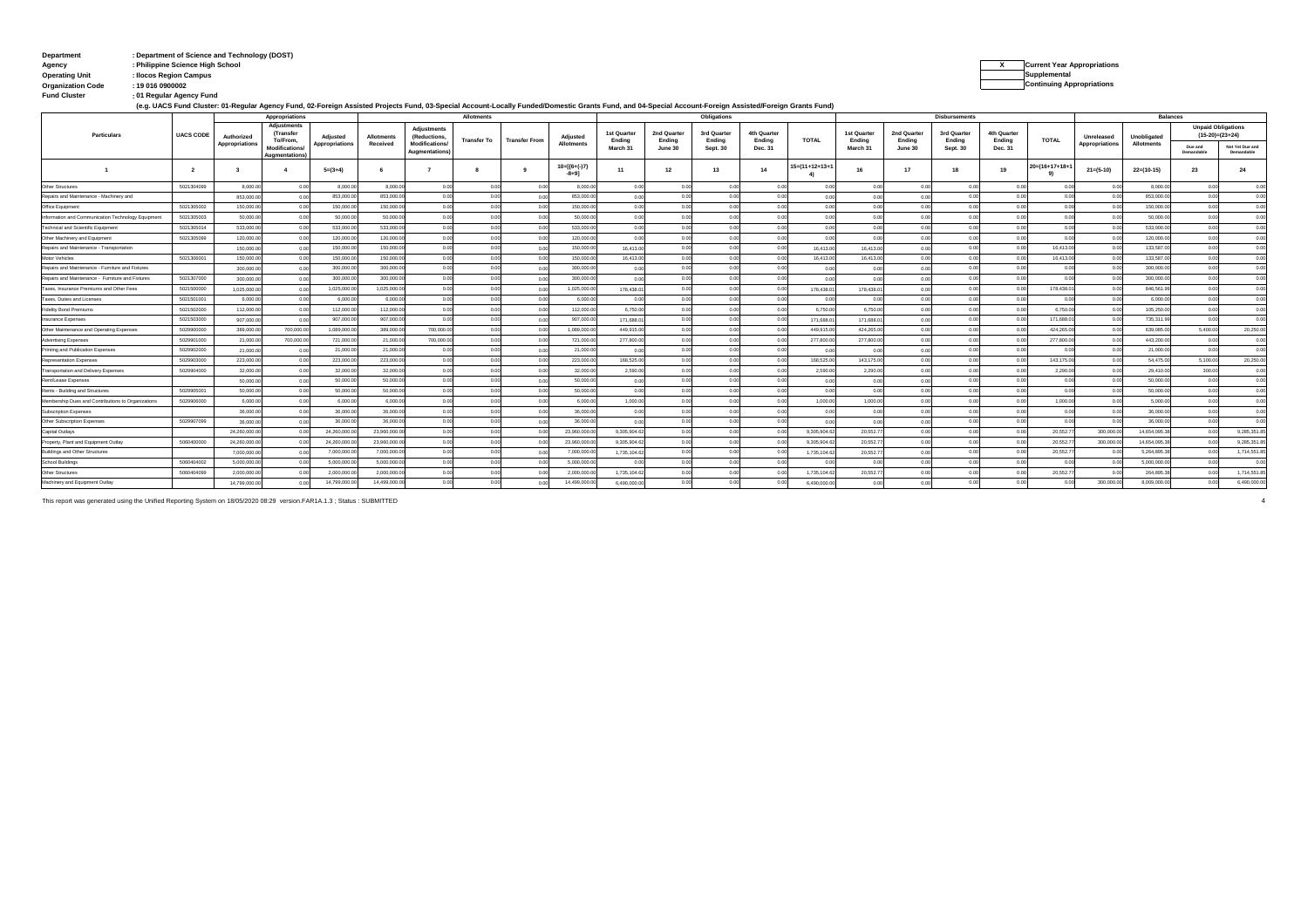# **: Department Department of Science and Technology (DOST) Agency : Philippine Science High School X Current Year Appropriations**

**Organization Code : 19 016 0900002**

```
Operating Unit : Ilocos Region Campus Supplemental 
                                                                    Continuing Appropriations
```
**: Fund Cluster 01 Regular Agency Fund**

|  | (e.g. UACS Fund Cluster: 01-Regular Agency Fund, 02-Foreign Assisted Projects Fund, 03-Special Account-Locally Funded/Domestic Grants Fund, and 04-Special Account-Foreign Assisted/Foreign Grants Fund) |  |
|--|----------------------------------------------------------------------------------------------------------------------------------------------------------------------------------------------------------|--|
|--|----------------------------------------------------------------------------------------------------------------------------------------------------------------------------------------------------------|--|

|                                                    |                  | Appropriations               |                                                                                             |                                   |                               | Allotments                                                 |                    |                      |                                  | Obligations           |                      |                       |                       |                |                       | <b>Disbursements</b>  |                       | <b>Balances</b>       |                        |                              |                           |                       |                                                |
|----------------------------------------------------|------------------|------------------------------|---------------------------------------------------------------------------------------------|-----------------------------------|-------------------------------|------------------------------------------------------------|--------------------|----------------------|----------------------------------|-----------------------|----------------------|-----------------------|-----------------------|----------------|-----------------------|-----------------------|-----------------------|-----------------------|------------------------|------------------------------|---------------------------|-----------------------|------------------------------------------------|
| Particulars                                        | <b>UACS CODE</b> | Authorized<br>Appropriations | <b>Adjustments</b><br>(Transfer<br>To/From.<br><b>Modifications</b><br><b>Augmentations</b> | Adjusted<br><b>Appropriations</b> | <b>Allotments</b><br>Received | <b>Adjustments</b><br>(Reductions,<br><b>Modifications</b> | <b>Transfer To</b> | <b>Transfer From</b> | Adjusted<br><b>Allotments</b>    | 1st Quarter<br>Endina | 2nd Quarte<br>Ending | 3rd Quarter<br>Endina | 4th Quarter<br>Endina | <b>TOTAL</b>   | 1st Quarter<br>Endina | 2nd Quarter<br>Endina | 3rd Quarter<br>Endina | 4th Quarter<br>Endina | <b>TOTAL</b>           | Unreleased<br>Appropriations | Unobligated<br>Allotments |                       | <b>Unpaid Obligations</b><br>$(15-20)=(23+24)$ |
|                                                    |                  |                              |                                                                                             |                                   |                               | Augmentations                                              |                    |                      |                                  | March 31              | June 30              | Sept. 30              | Dec. 31               |                | March 31              | June 30               | Sept. 30              | Dec. 31               |                        |                              |                           | Due and<br>Demandable | Not Yet Due and<br>Demandable                  |
|                                                    | $\overline{2}$   | $\mathbf{R}$                 | $\boldsymbol{A}$                                                                            | $5=(3+4)$                         | -6                            |                                                            |                    |                      | $10 = [{6 + (-)}7]$<br>$-8 + 91$ | 11                    | 12                   | 13                    | 14                    | 15=(11+12+13+1 | 16                    | 17                    | 18                    | 19                    | $20 = (16 + 17 + 18 +$ | $21 = (5-10)$                | $22=(10-15)$              | 23                    | 24                                             |
| <b>Other Structures</b>                            | 5021304099       | 8,000.0                      | 0.00                                                                                        | 8,000.00                          | 8,000.00                      | n no                                                       | 00                 | 00                   | 8,000.00                         | 0.00                  | 0.00                 | 0.00                  | 0.00                  | 0.00           | 0.00                  | 0.00                  | 0.00                  |                       |                        | 0.00                         | 8,000.0                   | 0.00                  | 0.00                                           |
| Repairs and Maintenance - Machinery and            |                  | 853,000.0                    | 0.00                                                                                        | 853,000.0                         | 853,000.0                     | 00                                                         |                    |                      | 853,000.0                        | 0.00                  | 0.00                 | 0.00                  | 0.00                  | 0.00           |                       |                       | 0.00                  |                       |                        |                              | 853,000.0                 | 0.00                  | 0.00                                           |
| Office Equipment                                   | 5021305002       | 150,000.0                    | 0.00                                                                                        | 150,000.0                         | 150,000.0                     |                                                            |                    |                      | 150,000.0                        | 0.00                  | 0.00                 |                       |                       | 0.00           |                       | 0.01                  |                       |                       |                        |                              | 150,000.0                 | 0 <sup>o</sup>        | 0.00                                           |
| Information and Communication Technology Equipment | 5021305003       | 50,000.0                     | 0.00                                                                                        | 50,000.0                          | 50,000.00                     |                                                            |                    |                      | 50,000.00                        | 0.00                  | 0.00                 | 0.00                  |                       | 0.00           |                       | 0.00                  | 0.00                  |                       |                        |                              | 50,000.0                  | 0 <sup>o</sup>        | 0.00                                           |
| Technical and Scientific Equipment                 | 5021305014       | 533,000.0                    | 0.00                                                                                        | 533,000.0                         | 533,000.00                    |                                                            |                    |                      | 533,000.00                       | 0.00                  | 0.00                 | 0.00                  | 0 <sup>0</sup>        | 0.00           | 0.00                  | 0.00                  | 0.00                  |                       |                        |                              | 533,000.0                 | 0 <sup>o</sup>        | 0.00                                           |
| Other Machinery and Equipment                      | 5021305099       | 120,000.0                    | 0.00                                                                                        | 120,000.0                         | 120,000.00                    |                                                            |                    | 0 <sup>i</sup>       | 120,000.00                       | 0.00                  | 0.00                 | 0.00                  |                       | 0.00           | 0.00                  | 0.00                  | 0 <sup>0</sup>        |                       | $^{\circ}$             | 00                           | 120,000.0                 | 0 <sup>o</sup>        | 0.00                                           |
| Repairs and Maintenance - Transportation           |                  | 150,000.0                    | 0.00                                                                                        | 150,000.0                         | 150,000.00                    |                                                            |                    |                      | 150,000.0                        | 16,413.0              | 0.00                 | 0.00                  | 00                    | 16,413.0       | 16,413.0              | 0.00                  | 0.00                  |                       | 16,413.0               | 0 <sup>4</sup>               | 133,587.0                 | 0.00                  | 0.00                                           |
| Motor Vehicles                                     | 5021306001       | 150,000.0                    | 0.00                                                                                        | 150,000.0                         | 150,000.0                     | 0.00                                                       |                    | 00                   | 150,000.0                        | 16,413.00             | 0.00                 | 0.00                  | 0.00                  | 16,413.0       | 16,413.0              | 0.00                  | 0.00                  |                       | 16,413.0               | 00                           | 133,587.0                 | 0.00                  | 0.00                                           |
| Repairs and Maintenance - Furniture and Fixtures   |                  | 300,000.0                    | 0.00                                                                                        | 300,000.                          | 300,000.0                     | 0.00                                                       |                    | 00                   | 300,000.0                        | 0.00                  | 0.00                 | 0.00                  | 0.00                  | 0.00           | 0.00                  | 0.00                  | 0.00                  |                       | 00                     | - 0.0                        | 300,000.0                 | 0.00                  | 0.00                                           |
| Repairs and Maintenance - Furniture and Fixtures   | 5021307000       | 300,000.0                    | 0.00                                                                                        | 300,000.0                         | 300,000.0                     | 0.00                                                       |                    | 0 <sup>1</sup>       | 300.000.0                        | 0.00                  | 0.00                 | 0.00                  | 0.01                  | 0.00           | 00                    | 0.00                  | 0.00                  | 0.00                  | 00                     |                              | 300,000.0                 | 0.00                  | 0.00                                           |
| Taxes, Insurance Premiums and Other Fees           | 5021500000       | 1,025,000.0                  | 0.00                                                                                        | 1,025,000.0                       | 1.025.000.00                  | 0.00                                                       | 0.0                | 0 <sup>1</sup>       | 1.025.000.00                     | 178,438.01            | 0.00                 | 0.00                  | 0.00                  | 178,438.0      | 178,438.0             | 0.00                  | 0.00                  | 0.00                  | 178,438.0              | 00                           | 846,561.9                 | 0.00                  | 0.00                                           |
| Taxes, Duties and Licenses                         | 5021501001       | 6,000.0                      | 0.00                                                                                        | 6,000.0                           | 6,000.0                       | 0.00                                                       |                    |                      | 6,000.0                          | 0.00                  | 0.00                 | 0.00                  |                       | 00             | 00                    | 0.00                  | n nn                  |                       |                        |                              | 6,000.0                   | 0 <sup>o</sup>        | 0.00                                           |
| <b>Fidelity Bond Premiums</b>                      | 5021502000       | 112,000.0                    | 0.00                                                                                        | 112,000.0                         | 112,000.00                    | 0.00                                                       | 0.00               | 00                   | 112,000.00                       | 6,750.00              | 0.00                 | 0.00                  | 0.00                  | 6,750.00       | 6,750.00              | 0.00                  | 0.00                  | 0.00                  | 6,750.0                | 0.0                          | 105,250.0                 | 0.00                  | 0.00                                           |
| nsurance Expenses                                  | 5021503000       | 907.000.0                    | 0.00                                                                                        | 907,000.0                         | 907.000.00                    | 0.00                                                       |                    |                      | 907.000.0                        | 171,688.01            | 0.00                 | 0.00                  | 0.00                  | 171,688.0      | 171,688.0             | 0.00                  | 0.00                  |                       | 171,688.0              |                              | 735.311.9                 | 0.00                  | 0.00                                           |
| Other Maintenance and Operating Expenses           | 5029900000       | 389,000.0                    | 700.000.00                                                                                  | 1.089.000.0                       | 389,000.00                    | 700,000.00                                                 | 00                 | $^{\circ}$           | 1.089.000.0                      | 449,915.0             | 0.00                 | 0.00                  | 0.00                  | 449,915.0      | 424,265.0             | 0.00                  | 0.00                  |                       | 424,265.0              | 0.0                          | 639.085.0                 | 5,400.00              | 20,250.00                                      |
| <b>Advertising Expenses</b>                        | 5029901000       | 21,000.0                     | 700,000.00                                                                                  | 721,000.0                         | 21,000.00                     | 700,000.0                                                  | 00                 | 0 <sup>1</sup>       | 721,000.0                        | 277,800.0             | 0.00                 | 0.00                  | 0.00                  | 277,800.00     | 277,800.0             | 0.00                  | 0.00                  |                       | 277,800.0              | 00                           | 443,200.0                 | 0.00                  | 0.00                                           |
| Printing and Publication Expenses                  | 5029902000       | 21,000.0                     | 0.00                                                                                        | 21,000.0                          | 21,000.0                      |                                                            |                    | 0 <sup>1</sup>       | 21,000.0                         | 0.00                  | 0.00                 | 00                    | 00                    | 0.00           | 00                    | 0.00                  | 0 <sup>0</sup>        |                       | 0 <sup>1</sup>         | 0.0                          | 21,000.0                  | 0.00                  | 0.00                                           |
| Representation Expenses                            | 5029903000       | 223,000.0                    | 0.00                                                                                        | 223,000.0                         | 223,000.0                     | 0.00                                                       |                    | 0 <sup>1</sup>       | 223,000.0                        | 168,525.00            | 0.00                 | 0.00                  | 0.00                  | 168,525.0      | 143.175.0             | 0.00                  | 0.00                  |                       | 143.175.0              | 00                           | 54,475.0                  | 5,100.00              | 20,250.00                                      |
| Transportation and Delivery Expenses               | 5029904000       | 32,000.0                     | 0.00                                                                                        | 32,000.0                          | 32,000.00                     | 00                                                         |                    | 0 <sup>1</sup>       | 32,000.00                        | 2,590.00              | 0.00                 | 0.00                  | 00                    | 2,590.00       | 2,290.0               | 0.00                  | n nn                  |                       | 2,290.0                | - 0.0                        | 29,410.0                  | 300.00                | 0.00                                           |
| Rent/Lease Expenses                                |                  | 50,000.0                     | 0.00                                                                                        | 50,000.0                          | 50,000.0                      |                                                            |                    | 0 <sup>1</sup>       | 50,000.0                         | 0.00                  | 0.00                 | 0.00                  | 0 <sup>0</sup>        | 0.00           | 00                    | 0.00                  | 0 <sup>0</sup>        |                       | 00                     | 00                           | 50,000.0                  | 0.00                  | 0.00                                           |
| Rents - Building and Structures                    | 5029905001       | 50,000.0                     | 0.00                                                                                        | 50,000.0                          | 50,000.00                     |                                                            |                    |                      | 50,000.00                        | 0.00                  | 0.00                 | 0.00                  |                       | 0.00           | 00                    | 0.01                  | n nr                  |                       |                        | 00                           | 50,000.0                  | 0 <sup>o</sup>        | 0.00                                           |
| Membership Dues and Contributions to Organizations | 5029906000       | 6,000.0                      | 0.00                                                                                        | 6,000.0                           | 6,000.0                       |                                                            |                    | 0 <sup>1</sup>       | 6,000.00                         | 1,000.00              | 0.00                 | 00                    | 0 <sup>0</sup>        | 1.000.00       | 1.000.0               | 0.01                  |                       |                       | 1.000.0                | 0.00                         | 5,000.0                   | 0 <sup>o</sup>        | 0.00                                           |
| Subscription Expenses                              |                  | 36,000.0                     | 0.00                                                                                        | 36,000.0                          | 36,000.0                      |                                                            |                    | 00                   | 36,000.0                         | 0.00                  | 0.00                 | 0.00                  | 0.01                  | 0.00           | 00                    | 0.01                  |                       |                       |                        | 0.00                         | 36,000.0                  | 0 <sup>o</sup>        | 0.00                                           |
| Other Subscription Expenses                        | 5029907099       | 36,000.0                     | 0.00                                                                                        | 36,000.0                          | 36,000.0                      |                                                            |                    | 00                   | 36,000.0                         | 0.00                  | 0.00                 | 0.00                  | 0.01                  | 0.00           | 00                    | 0.01                  | 0.00                  |                       |                        |                              | 36,000.0                  | 0.00                  | 0.00                                           |
| Capital Outlays                                    |                  | 24.260.000.0                 | 0.00                                                                                        | 24,260,000.                       | 23,960,000.0                  |                                                            |                    |                      | 23,960,000.0                     | 9.305.904.62          | 0.00                 | 0.00                  | 0.00                  | 9.305.904.6    | 20.552.7              |                       | n on                  |                       | 20,552.7               | 300,000.0                    | 14,654,095.3              | 0 <sup>o</sup>        | 9,285,351.85                                   |
| Property, Plant and Equipment Outlay               | 5060400000       | 24,260,000.0                 |                                                                                             | 24.260.000                        | 23.960.000.0                  | 0.00                                                       | 0.0                | 0 <sup>1</sup>       | 23,960,000.0                     | 9.305.904.6           | 0.00                 | 0.00                  | 0 <sub>0</sub>        | 9.305.904.6    | 20.552.7              | 0.01                  | 0.00                  |                       | 20,552.7               | 300,000.0                    | 14.654.095.3              | 0.00                  | 9.285.351.85                                   |
| <b>Buildings and Other Structures</b>              |                  | 7,000,000.0                  | 0.00                                                                                        | 7,000,000                         | 7,000,000.0                   | 0.00                                                       |                    | 00                   | 7,000,000.0                      | 1,735,104.62          | 0.00                 | 0.00                  | 0.00                  | 1,735,104.62   | 20,552.7              | 0.01                  | 0.00                  | 0.00                  | 20,552.7               | 0.0                          | 5,264,895.3               | 0.00                  | 1,714,551.85                                   |
| <b>School Buildings</b>                            | 5060404002       | 5.000.000.0                  |                                                                                             | 5,000,000                         | 5.000.000.0                   | 0.00                                                       |                    |                      | 5.000.000.0                      | 0.00                  | 0.00                 | 0.00                  |                       |                |                       |                       | 0.00                  |                       |                        |                              | 5.000.000                 | 0 <sup>o</sup>        | 0.00                                           |
| <b>Other Structures</b>                            | 5060404099       | 2,000,000.0                  | 0.00                                                                                        | 2,000,000                         | 2,000,000.0                   | 0.00                                                       |                    |                      | 2.000.000.0                      | 1,735,104.62          | 0.00                 | 00                    | 0.00                  | 1,735,104.62   | 20,552.7              | 0.01                  |                       |                       | 20.552.7               |                              | 264.895.3                 | 0.00                  | 1,714,551.85                                   |
| Machinery and Equipment Outlay                     |                  | 14.799.000.00                | 0.00                                                                                        | 14,799,000.0                      | 14.499.000.00                 | 0.00                                                       | 0.00               | 00                   | 14,499,000.00                    | 6.490.000.0           | 0.00                 | 0.00                  | 0.00                  | 6.490.000.00   | 0.00                  | 0.00                  | 0.00                  | 0.00                  | 000                    | 300,000.00                   | 8.009.000.0               | 0.00                  | 6,490,000.00                                   |

This report was generated using the Unified Reporting System on 18/05/2020 08:29 version.FAR1A.1.3 ; Status : SUBMITTED 4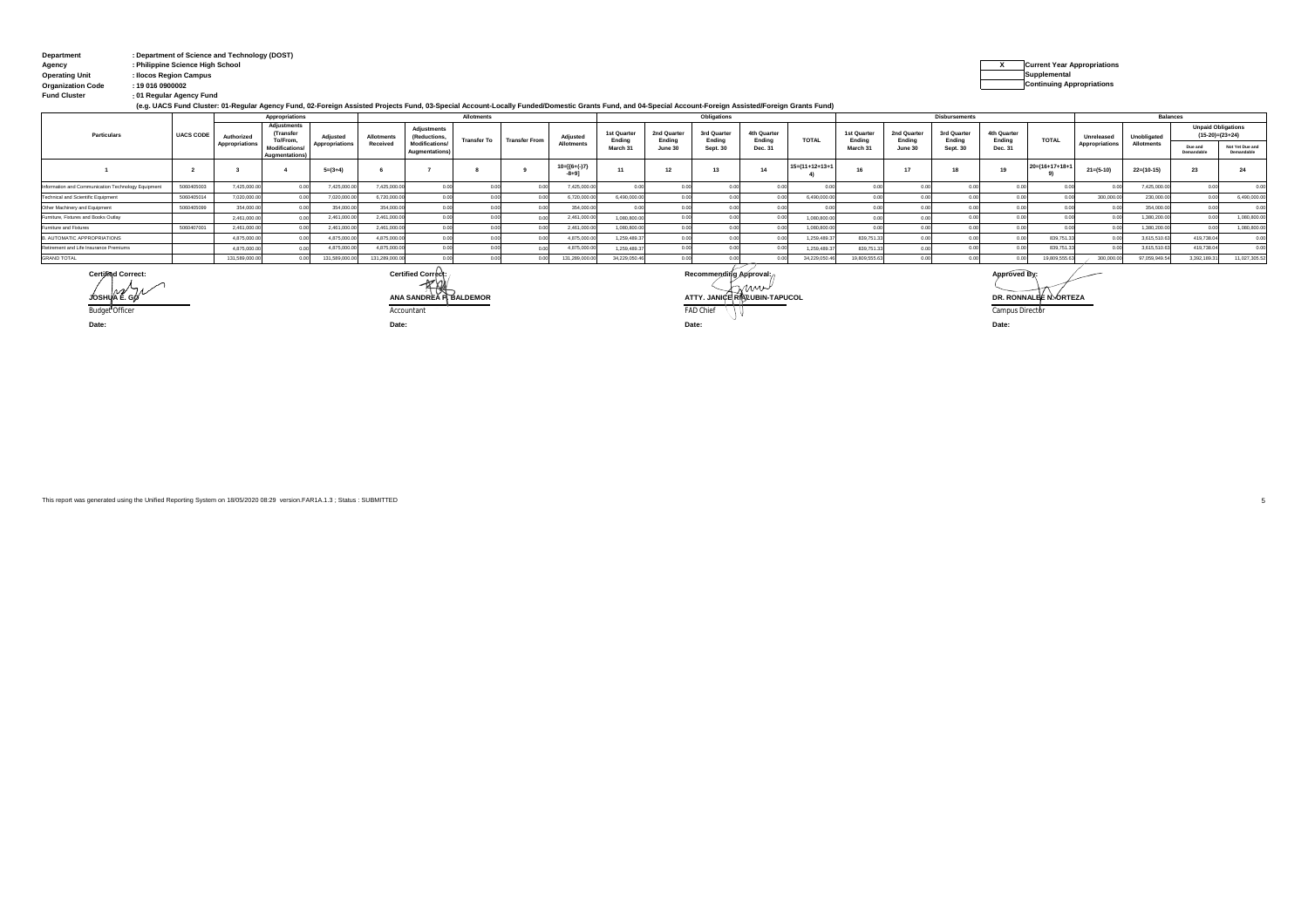| <b>Department</b>     | : Department of Science and Technology (DOST) |                |
|-----------------------|-----------------------------------------------|----------------|
| Agency                | : Philippine Science High School              | Current Year / |
| <b>Operating Unit</b> | : Ilocos Region Campus                        | Supplemental   |

**: Fund Cluster 01 Regular Agency Fund**

**Organization Code : 19 016 0900002 Continuing Appropriations**

| (e.g. UACS Fund Cluster: 01-Regular Agency Fund, 02-Foreign Assisted Projects Fund, 03-Special Account-Locally Funded/Domestic Grants Fund, and 04-Special Account-Foreign Assisted/Foreign Grants Fund) |  |
|----------------------------------------------------------------------------------------------------------------------------------------------------------------------------------------------------------|--|
|----------------------------------------------------------------------------------------------------------------------------------------------------------------------------------------------------------|--|

|                                                    |                  | Appropriations |                                                                                        |                            |                               | Allotments                             |                    |                      |                            |                       | Obligations           |                        |                       |                   |                                             | <b>Disbursements</b>             |                                  |                       |                           |                              |                   | <b>Balances</b>                                |                               |  |  |
|----------------------------------------------------|------------------|----------------|----------------------------------------------------------------------------------------|----------------------------|-------------------------------|----------------------------------------|--------------------|----------------------|----------------------------|-----------------------|-----------------------|------------------------|-----------------------|-------------------|---------------------------------------------|----------------------------------|----------------------------------|-----------------------|---------------------------|------------------------------|-------------------|------------------------------------------------|-------------------------------|--|--|
| Particulars                                        | <b>UACS CODE</b> | Authorized     | Adjustments<br><b>(Transfer</b><br>To/From.<br><b>Modifications/</b><br>Augmentations) | Adiusted<br>Appropriations | <b>Allotments</b><br>Received | <b>Adjustments</b><br>(Reductions,     | <b>Transfer To</b> | <b>Transfer From</b> | Adiusted                   | 1st Quarter<br>Ending | 2nd Quarter<br>Ending | 3rd Quarter<br>Endina  | 4th Quarter<br>Ending | <b>TOTAL</b>      | 1st Quarter<br>Ending<br>March <sub>3</sub> | 2nd Quarter<br>Ending<br>June 30 | 3rd Quarter<br>Ending<br>Sept. 3 | 4th Quarter<br>Endina | <b>TOTAL</b>              | Unreleased<br>Appropriations | Unobligated       | <b>Unpaid Obligations</b><br>$(15-20)=(23+24)$ |                               |  |  |
|                                                    |                  | Appropriations |                                                                                        |                            |                               | <b>Modifications</b><br>Augmentations) |                    |                      | <b>Allotments</b>          | March 3               | June 30               | Sept. 30               | Dec. 31               |                   |                                             |                                  |                                  | Dec. 31               |                           |                              | <b>Allotments</b> | Due and<br>Demandabl                           | Not Yet Due and<br>Demandable |  |  |
|                                                    |                  |                |                                                                                        | $5=(3+4)$                  |                               |                                        |                    |                      | $10=[(6+(-)7)$<br>$-8 + 9$ |                       | 12                    | 13                     |                       | $15=(11+12+13+1)$ |                                             |                                  |                                  | 19                    | $20 = (16 + 17 + 18 + 1)$ | $21 = (5-10)$                | $22=(10-15)$      | 23                                             | 24                            |  |  |
| Information and Communication Technology Equipment | 5060405003       | 7,425,000.     |                                                                                        | 7,425,000.                 | 7,425,000.0                   |                                        |                    |                      | 7,425,000.                 |                       |                       |                        |                       |                   |                                             |                                  |                                  |                       |                           |                              | 7,425,000.0       |                                                | 0.00                          |  |  |
| Technical and Scientific Equipment                 | 506040501        | 7.020.000      |                                                                                        | 7.020.000.0                | 6.720.000.0                   |                                        |                    |                      | 6.720.000.0                | 6.490.000.0           |                       |                        |                       | 6,490,000         |                                             |                                  |                                  |                       |                           | 300,000.0                    | 230,000.0         |                                                | 6,490,000.00                  |  |  |
| Other Machinery and Equipment                      | 5060405099       | 354,000        |                                                                                        | 354,000.0                  | 354,000.0                     |                                        |                    |                      | 354,000.0                  |                       |                       |                        |                       |                   |                                             |                                  |                                  |                       |                           |                              | 354,000.0         |                                                | 0.00                          |  |  |
| Furniture. Fixtures and Books Outlav               |                  | 2.461.000      |                                                                                        | 2,461,000.                 | 2,461,000.0                   |                                        |                    |                      | 2.461.000                  | 1.080.800.0           |                       |                        |                       | 1.080.800         |                                             |                                  |                                  |                       |                           |                              | 1.380.200.0       |                                                | 1,080,800.00                  |  |  |
| Furniture and Fixtures                             | 506040700        | 2,461,000      |                                                                                        | 2,461,000.0                | 2,461,000.00                  |                                        |                    |                      | 2,461,000.                 | 1.080.800.0           |                       |                        |                       | 1,080,800         |                                             |                                  |                                  |                       |                           |                              | 1.380.200.0       |                                                | 1,080,800.00                  |  |  |
| B. AUTOMATIC APPROPRIATIONS                        |                  | 4,875,000      |                                                                                        | 4,875,000.                 | 4,875,000.0                   |                                        |                    |                      | 4.875.000.                 | 1.259.489.3           |                       |                        |                       | 1,259,489.        | 839,751.                                    |                                  |                                  |                       | 839,751                   |                              | 3,615,510.63      | 419.738.0                                      | 0.00                          |  |  |
| Retirement and Life Insurance Premiums             |                  | 4,875,000      |                                                                                        | 4,875,000                  | 4.875.000.0                   |                                        |                    |                      | 4.875.000.                 | 1.259.489.3           |                       |                        |                       | 1.259.489         | 839,751                                     |                                  |                                  |                       | 839,751.                  |                              | 3,615,510.63      | 419.738.0                                      | 0.00                          |  |  |
| <b>GRAND TOTAL</b>                                 |                  | 131,589,000    |                                                                                        | 131,589,000.               | 131,289,000.0                 |                                        |                    |                      | 131,289,000.0              | 34,229,050.4          |                       |                        |                       | 34,229,050.4      | 19,809,555                                  |                                  |                                  |                       | 19,809,555.               | 300,000.0                    | 97,059,949.5      | 3,392,189.31                                   | 11,027,305.52                 |  |  |
| Certified Correct:                                 |                  |                |                                                                                        |                            |                               | Certified Correct:<br>$\sim$           |                    |                      |                            |                       |                       | Recommending Approval: |                       |                   |                                             |                                  |                                  | Approved By:          |                           |                              |                   |                                                |                               |  |  |

Budget Officer results are computed to a computation of the computation of the computation of the compus Director of the compus Director **JOSHUA E. GO ANA SANDREA P. BALDEMOR ATTY. JANICE RIALUBIN-TAPUCOL DR. RONNALEE N. ORTEZA**

**Date: Date: Date:**

**Date:**

This report was generated using the Unified Reporting System on 18/05/2020 08:29 version.FAR1A.1.3 ; Status : SUBMITTED 5

**X Current Year Appropriations**